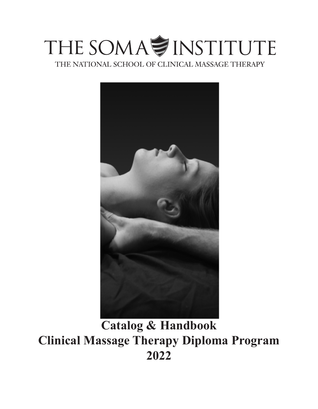# THE SOMA<sup>S</sup> INSTITUTE

THE NATIONAL SCHOOL OF CLINICAL MASSAGE THERAPY



**Catalog & Handbook Clinical Massage Therapy Diploma Program 2022**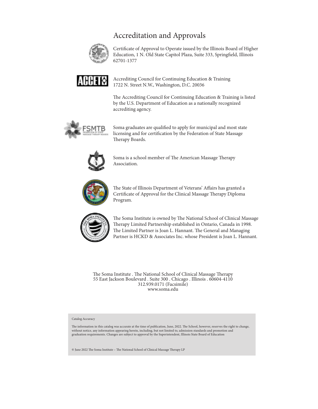# Accreditation and Approvals



Certificate of Approval to Operate issued by the Illinois Board of Higher Education, 1 N. Old State Capitol Plaza, Suite 333, Springfield, Illinois 62701-1377



Accrediting Council for Continuing Education & Training 1722 N. Street N.W., Washington, D.C. 20036

The Accrediting Council for Continuing Education & Training is listed by the U.S. Department of Education as a nationally recognized accrediting agency.



Soma graduates are qualified to apply for municipal and most state licensing and for certification by the Federation of State Massage Therapy Boards.



Soma is a school member of The American Massage Therapy Association.



The State of Illinois Department of Veterans' Affairs has granted a Certificate of Approval for the Clinical Massage Therapy Diploma Program.



The Soma Institute is owned by The National School of Clinical Massage Therapy Limited Partnership established in Ontario, Canada in 1998. The Limited Partner is Joan L. Hannant. The General and Managing Partner is HCKD & Associates Inc. whose President is Joan L. Hannant.

The Soma Institute . The National School of Clinical Massage Therapy 55 East Jackson Boulevard . Suite 300 . Chicago . Illinois . 60604-4110 312.939.0171 (Facsimile) www.soma.edu

Catalog Accuracy

The information in this catalog was accurate at the time of publication, June, 2022. The School, however, reserves the right to change, without notice, any information appearing herein, including, but not limited to, admission standards and promotion and<br>graduation requirements. Changes are subject to approval by the Superintendent, Illinois State Board of

© June 2022 The Soma Institute – The National School of Clinical Massage Therapy LP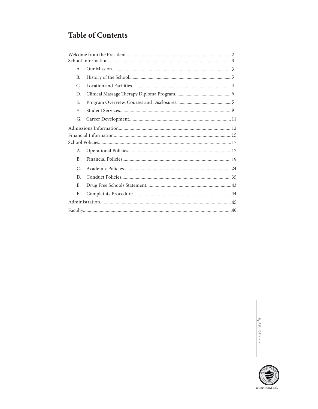# **Table of Contents**

| Α.             |  |
|----------------|--|
| <b>B.</b>      |  |
| C.             |  |
| D.             |  |
| Е.             |  |
| F.             |  |
| G.             |  |
|                |  |
|                |  |
|                |  |
| A.             |  |
| B <sub>1</sub> |  |
| $\mathcal{C}$  |  |
| D.             |  |
| Ε.             |  |
| F.             |  |
|                |  |
|                |  |

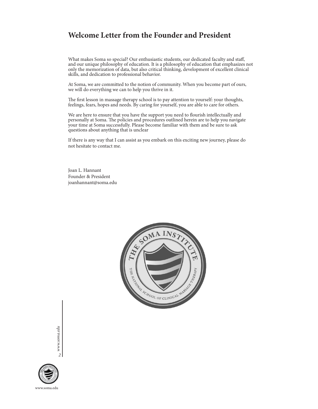# **Welcome Letter from the Founder and President**

What makes Soma so special? Our enthusiastic students, our dedicated faculty and staff, and our unique philosophy of education. It is a philosophy of education that emphasizes not only the memorization of data, but also critical thinking, development of excellent clinical skills, and dedication to professional behavior.

At Soma, we are committed to the notion of community. When you become part of ours, we will do everything we can to help you thrive in it.

The first lesson in massage therapy school is to pay attention to yourself: your thoughts, feelings, fears, hopes and needs. By caring for yourself, you are able to care for others.

We are here to ensure that you have the support you need to flourish intellectually and personally at Soma. The policies and procedures outlined herein are to help you navigate your time at Soma successfully. Please become familiar with them and be sure to ask questions about anything that is unclear

If there is any way that I can assist as you embark on this exciting new journey, please do not hesitate to contact me.

Joan L. Hannant Founder & President joanhannant@soma.edu



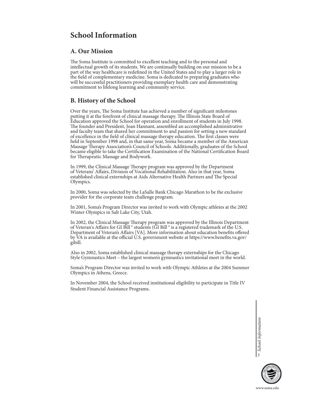# **School Information**

# **A. Our Mission**

The Soma Institute is committed to excellent teaching and to the personal and intellectual growth of its students. We are continually building on our mission to be a part of the way healthcare is redefined in the United States and to play a larger role in the field of complementary medicine. Soma is dedicated to preparing graduates who will be successful practitioners providing exemplary health care and demonstrating commitment to lifelong learning and community service.

# **B. History of the School**

Over the years, The Soma Institute has achieved a number of significant milestones putting it at the forefront of clinical massage therapy. The Illinois State Board of Education approved the School for operation and enrollment of students in July 1998. The founder and President, Joan Hannant, assembled an accomplished administrative and faculty team that shared her commitment to and passion for setting a new standard of excellence in the field of clinical massage therapy education. The first classes were held in September 1998 and, in that same year, Soma became a member of the American Massage Therapy Association's Council of Schools. Additionally, graduates of the School became eligible to take the Certification Examination of the National Certification Board for Therapeutic Massage and Bodywork.

In 1999, the Clinical Massage Therapy program was approved by the Department of Veterans' Affairs, Division of Vocational Rehabilitation. Also in that year, Soma established clinical externships at Aids Alternative Health Partners and The Special Olympics.

In 2000, Soma was selected by the LaSalle Bank Chicago Marathon to be the exclusive provider for the corporate team challenge program.

In 2001, Soma's Program Director was invited to work with Olympic athletes at the 2002 Winter Olympics in Salt Lake City, Utah.

In 2002, the Clinical Massage Therapy program was approved by the Illinois Department of Veteran's Affairs for GI Bill ® students (GI Bill ® is a registered trademark of the U.S. Department of Veteran's Affairs [VA]. More information about education benefits offered by VA is available at the official U.S. government website at https://www.benefits.va.gov/ gibill.

Also in 2002, Soma established clinical massage therapy externships for the Chicago Style Gymnastics Meet – the largest women's gymnastics invitational meet in the world.

Soma's Program Director was invited to work with Olympic Athletes at the 2004 Summer Olympics in Athens, Greece.

In November 2004, the School received institutional eligibility to participate in Title IV Student Financial Assistance Programs.

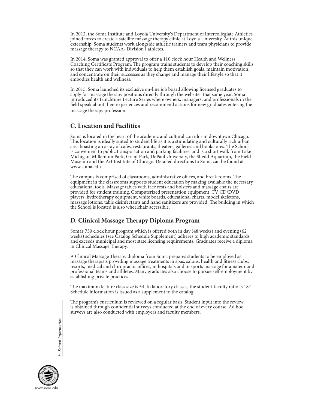In 2012, the Soma Institute and Loyola University's Department of Intercollegiate Athletics joined forces to create a satellite massage therapy clinic at Loyola University. At this unique externship, Soma students work alongside athletic trainers and team physicians to provide massage therapy to NCAA- Division I athletes.

In 2014, Soma was granted approval to offer a 110 clock hour Health and Wellness Coaching Certificate Program. The program trains students to develop their coaching skills so that they can work with individuals to help them establish goals, maintain motivation, and concentrate on their successes as they change and manage their lifestyle so that it embodies health and wellness.

In 2015, Soma launched its exclusive on-line job board allowing licensed graduates to apply for massage therapy positions directly through the website. That same year, Soma introduced its Lunchtime Lecture Series where owners, managers, and professionals in the field speak about their experiences and recommend actions for new graduates entering the massage therapy profession.

# **C. Location and Facilities**

Soma is located in the heart of the academic and cultural corridor in downtown Chicago. This location is ideally suited to student life as it is a stimulating and culturally rich urban area boasting an array of cafés, restaurants, theaters, galleries and bookstores. The School is convenient to public transportation and parking facilities, and is a short walk from Lake Michigan, Millenium Park, Grant Park, DePaul University, the Shedd Aquarium, the Field Museum and the Art Institute of Chicago. Detailed directions to Soma can be found at www.soma.edu.

The campus is comprised of classrooms, administrative offices, and break rooms. The equipment in the classrooms supports student education by making available the necessary educational tools. Massage tables with face rests and bolsters and massage chairs are provided for student training. Computerized presentation equipment, TV CD/DVD players, hydrotherapy equipment, white boards, educational charts, model skeletons, massage lotions, table disinfectants and hand sanitizers are provided. The building in which the School is located is also wheelchair accessible.

# **D. Clinical Massage Therapy Diploma Program**

Soma's 750 clock hour program which is offered both in day (48 weeks) and evening (62 weeks) schedules (see Catalog Schedule Supplement) adheres to high academic standards and exceeds municipal and most state licensing requirements. Graduates receive a diploma in Clinical Massage Therapy.

A Clinical Massage Therapy diploma from Soma prepares students to be employed as massage therapists providing massage treatments in spas, salons, health and fitness clubs, resorts, medical and chiropractic offices, in hospitals and in sports massage for amateur and professional teams and athletes. Many graduates also choose to pursue self-employment by establishing private practices.

The maximum lecture class size is 54. In laboratory classes, the student-faculty ratio is 18:1. Schedule information is issued as a supplement to the catalog.

The program's curriculum is reviewed on a regular basis. Student input into the review is obtained through confidential surveys conducted at the end of every course. Ad hoc surveys are also conducted with employers and faculty members.

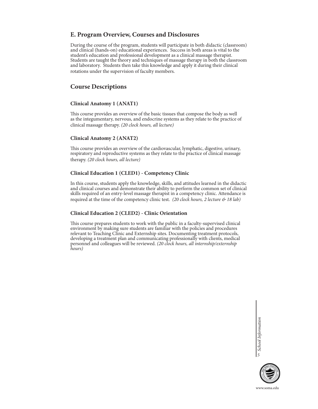# **E. Program Overview, Courses and Disclosures**

During the course of the program, students will participate in both didactic (classroom) and clinical (hands-on) educational experiences. Success in both areas is vital to the student's education and professional development as a clinical massage therapist. Students are taught the theory and techniques of massage therapy in both the classroom and laboratory. Students then take this knowledge and apply it during their clinical rotations under the supervision of faculty members.

# **Course Descriptions**

# **Clinical Anatomy 1 (ANAT1)**

This course provides an overview of the basic tissues that compose the body as well as the integumentary, nervous, and endocrine systems as they relate to the practice of clinical massage therapy. *(20 clock hours, all lecture)*

### **Clinical Anatomy 2 (ANAT2)**

This course provides an overview of the cardiovascular, lymphatic, digestive, urinary, respiratory and reproductive systems as they relate to the practice of clinical massage therapy. *(20 clock hours, all lecture)*

# **Clinical Education 1 (CLED1) - Competency Clinic**

In this course, students apply the knowledge, skills, and attitudes learned in the didactic and clinical courses and demonstrate their ability to perform the common set of clinical skills required of an entry-level massage therapist in a competency clinic. Attendance is required at the time of the competency clinic test. *(20 clock hours, 2 lecture & 18 lab)*

# **Clinical Education 2 (CLED2) - Clinic Orientation**

This course prepares students to work with the public in a faculty-supervised clinical environment by making sure students are familiar with the policies and procedures relevant to Teaching Clinic and Externship sites. Documenting treatment protocols, developing a treatment plan and communicating professionally with clients, medical personnel and colleagues will be reviewed. *(20 clock hours, all internship/externship hours)*

> *School Information* **5** School Information



www.soma.edu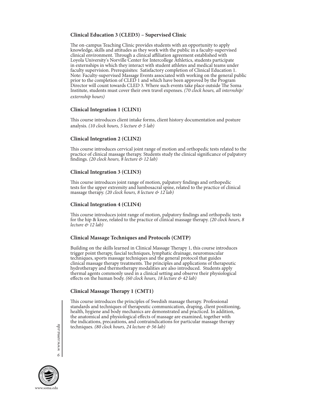# **Clinical Education 3 (CLED3) – Supervised Clinic**

The on-campus Teaching Clinic provides students with an opportunity to apply knowledge, skills and attitudes as they work with the public in a faculty-supervised clinical environment. Through a clinical affiliation agreement established with Loyola University's Norville Center for Intercollege Athletics, students participate in externships in which they interact with student athletes and medical teams under faculty supervision. Prerequisites: Satisfactory completion of Clinical Education 1. Note: Faculty-supervised Massage Events associated with working on the general public prior to the completion of CLED 1 and which have been approved by the Program Director will count towards CLED 3. Where such events take place outside The Soma Institute, students must cover their own travel expenses. *(70 clock hours, all internship/ externship hours)*

# **Clinical Integration 1 (CLIN1)**

This course introduces client intake forms, client history documentation and posture analysis. *(10 clock hours, 5 lecture & 5 lab)*

# **Clinical Integration 2 (CLIN2)**

This course introduces cervical joint range of motion and orthopedic tests related to the practice of clinical massage therapy. Students study the clinical significance of palpatory findings. *(20 clock hours, 8 lecture & 12 lab)*

# **Clinical Integration 3 (CLIN3)**

This course introduces joint range of motion, palpatory findings and orthopedic tests for the upper extremity and lumbosacral spine, related to the practice of clinical massage therapy. *(20 clock hours, 8 lecture & 12 lab)*

# **Clinical Integration 4 (CLIN4)**

This course introduces joint range of motion, palpatory findings and orthopedic tests for the hip & knee, related to the practice of clinical massage therapy. *(20 clock hours, 8 lecture & 12 lab)*

# **Clinical Massage Techniques and Protocols (CMTP)**

Building on the skills learned in Clinical Massage Therapy 1, this course introduces trigger point therapy, fascial techniques, lymphatic drainage, neuromuscular techniques, sports massage techniques and the general protocol that guides clinical massage therapy treatments. The principles and applications of therapeutic hydrotherapy and thermotherapy modalities are also introduced. Students apply thermal agents commonly used in a clinical setting and observe their physiological effects on the human body. *(60 clock hours, 18 lecture & 42 lab)*

# **Clinical Massage Therapy 1 (CMT1)**

This course introduces the principles of Swedish massage therapy. Professional standards and techniques of therapeutic communication, draping, client positioning, health, hygiene and body mechanics are demonstrated and practiced. In addition, the anatomical and physiological effects of massage are examined, together with the indications, precautions, and contraindications for particular massage therapy techniques. *(80 clock hours, 24 lecture & 56 lab)*

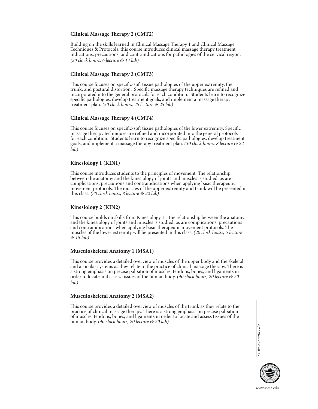# **Clinical Massage Therapy 2 (CMT2)**

Building on the skills learned in Clinical Massage Therapy 1 and Clinical Massage Techniques & Protocols, this course introduces clinical massage therapy treatment indications, precautions, and contraindications for pathologies of the cervical region. *(20 clock hours, 6 lecture & 14 lab)*

### **Clinical Massage Therapy 3 (CMT3)**

This course focuses on specific-soft tissue pathologies of the upper extremity, the trunk, and postural distortion. Specific massage therapy techniques are refined and incorporated into the general protocols for each condition. Students learn to recognize specific pathologies, develop treatment goals, and implement a massage therapy treatment plan. *(50 clock hours, 25 lecture & 25 lab)*

### **Clinical Massage Therapy 4 (CMT4)**

This course focuses on specific-soft tissue pathologies of the lower extremity. Specific massage therapy techniques are refined and incorporated into the general protocols for each condition. Students learn to recognize specific pathologies, develop treatment goals, and implement a massage therapy treatment plan. *(30 clock hours, 8 lecture & 22 lab)*

### **Kinesiology 1 (KIN1)**

This course introduces students to the principles of movement. The relationship between the anatomy and the kinesiology of joints and muscles is studied, as are complications, precautions and contraindications when applying basic therapeutic movement protocols. The muscles of the upper extremity and trunk will be presented in this class. *(30 clock hours, 8 lecture & 22 lab)*

### **Kinesiology 2 (KIN2)**

This course builds on skills from Kinesiology 1. The relationship between the anatomy and the kinesiology of joints and muscles is studied, as are complications, precautions and contraindications when applying basic therapeutic movement protocols. The muscles of the lower extremity will be presented in this class. *(20 clock hours, 5 lecture & 15 lab)*

### **Musculoskeletal Anatomy 1 (MSA1)**

This course provides a detailed overview of muscles of the upper body and the skeletal and articular systems as they relate to the practice of clinical massage therapy. There is a strong emphasis on precise palpation of muscles, tendons, bones, and ligaments in order to locate and assess tissues of the human body. *(40 clock hours, 20 lecture & 20 lab)*

### **Musculoskeletal Anatomy 2 (MSA2)**

This course provides a detailed overview of muscles of the trunk as they relate to the practice of clinical massage therapy. There is a strong emphasis on precise palpation of muscles, tendons, bones, and ligaments in order to locate and assess tissues of the human body. *(40 clock hours, 20 lecture & 20 lab)*

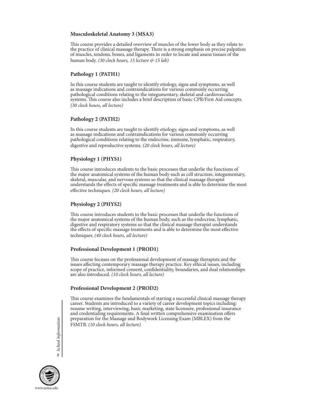# **Musculoskeletal Anatomy 3 (MSA3)**

This course provides a detailed overview of muscles of the lower body as they relate to the practice of clinical massage therapy. There is a strong emphasis on precise palpation of muscles, tendons, bones, and ligaments in order to locate and assess tissues of the human body. *(30 clock hours, 15 lecture & 15 lab)*

# **Pathology 1 (PATH1)**

In this course students are taught to identify etiology, signs and symptoms, as well as massage indications and contraindications for various commonly occurring pathological conditions relating to the integumentary, skeletal and cardiovascular systems. This course also includes a brief description of basic CPR/First Aid concepts. *(30 clock hours, all lecture)*

# **Pathology 2 (PATH2)**

In this course students are taught to identify etiology, signs and symptoms, as well as massage indications and contraindications for various commonly occurring pathological conditions relating to the endocrine, immune, lymphatic, respiratory, digestive and reproductive systems*. (20 clock hours, all lecture)*

# **Physiology 1 (PHYS1)**

This course introduces students to the basic processes that underlie the functions of the major anatomical systems of the human body such as cell structure, integumentary, skeletal, muscular, and nervous systems so that the clinical massage therapist understands the effects of specific massage treatments and is able to determine the most effective techniques*. (20 clock hours, all lecture)*

# **Physiology 2 (PHYS2)**

This course introduces students to the basic processes that underlie the functions of the major anatomical systems of the human body, such as the endocrine, lymphatic, digestive and respiratory systems so that the clinical massage therapist understands the effects of specific massage treatments and is able to determine the most effective techniques. *(40 clock hours, all lecture)*

# **Professional Development 1 (PROD1)**

This course focuses on the professional development of massage therapists and the issues affecting contemporary massage therapy practice. Key ethical issues, including scope of practice, informed consent, confidentiality, boundaries, and dual relationships are also introduced*. (10 clock hours, all lecture)*

# **Professional Development 2 (PROD2)**

This course examines the fundamentals of starting a successful clinical massage therapy career. Students are introduced to a variety of career development topics including: resume writing, interviewing, basic marketing, state licensure, professional insurance and credentialing requirements. A final written comprehensive examination offers preparation for the Massage and Bodywork Licensing Exam (MBLEX) from the FSMTB. *(10 clock hours, all lecture)*

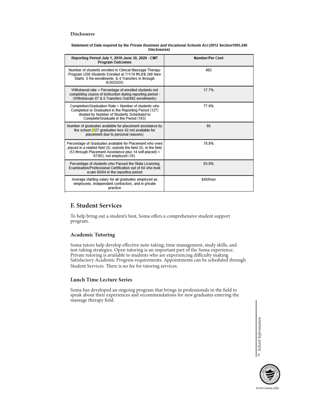#### **Disclosures**

| Statement of Data required by the <i>Private Business and Vocational Schools Act</i> (2012 Section1095.240 |  |  |  |  |  |
|------------------------------------------------------------------------------------------------------------|--|--|--|--|--|
| Disclosures)                                                                                               |  |  |  |  |  |

| Reporting Period July 1, 2019-June 30, 2020 - CMT<br><b>Program Outcomes</b>                                                                                                                                            | Number/Per Cent |
|-------------------------------------------------------------------------------------------------------------------------------------------------------------------------------------------------------------------------|-----------------|
| Number of students enrolled in Clinical Massage Therapy<br>Program (208 Students Enrolled at 7/1/19 PLUS 286 New<br>Starts, 0 Re-enrollments, & 4 Transfers In through<br>6/30/2020)                                    | 492             |
| Withdrawal rate = Percentage of enrolled students not<br>completing course of instruction during reporting period -<br>(Withdrawals 87 & 0 Transfers Out/492 enrollments)                                               | 17 7%           |
| Completion/Graduation Rate = Number of students who<br>Completed or Graduated in the Reporting Period (127)<br>divided by Number of Students Scheduled to<br>Complete/Graduate in the Period (163)                      | 77.9%           |
| Number of graduates available for placement assistance by<br>the school (127 graduates less 42 not available for<br>placement due to personal reasons)                                                                  | 85              |
| Percentage of Graduates available for Placement who were<br>placed in a related field (0), outside the field (0), in the field<br>(53 through Placement Assistance plus 14 self-placed) =<br>67/85), not employed (18). | 78.8%           |
| Percentage of students who Passed the State Licensing<br>Examination/Professional Certification out of 64 who took<br>exam 60/64 in the reporting period                                                                | 93.8%           |
| Average starting salary for all graduates employed as<br>employees, independent contractors, and in private<br>practice                                                                                                 | \$40/hour       |

# **F. Student Services**

To help bring out a student's best, Soma offers a comprehensive student support program.

# **Academic Tutoring**

Soma tutors help develop effective note-taking, time management, study skills, and test-taking strategies. Open tutoring is an important part of the Soma experience. Private tutoring is available to students who are experiencing difficulty making Satisfactory Academic Progress requirements. Appointments can be scheduled through Student Services. There is no fee for tutoring services.

# **Lunch Time Lecture Series**

Soma has developed an ongoing program that brings in professionals in the field to speak about their experiences and recommendations for new graduates entering the massage therapy field.

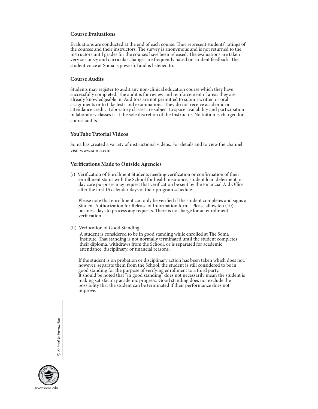### **Course Evaluations**

Evaluations are conducted at the end of each course. They represent students' ratings of the courses and their instructors. The survey is anonymous and is not returned to the instructors until grades for the courses have been released. The evaluations are taken very seriously and curricular changes are frequently based on student feedback. The student voice at Soma is powerful and is listened to.

### **Course Audits**

Students may register to audit any non-clinical education course which they have successfully completed. The audit is for review and reinforcement of areas they are already knowledgeable in. Auditors are not permitted to submit written or oral assignments or to take tests and examinations. They do not receive academic or attendance credit. Laboratory classes are subject to space availability and participation in laboratory classes is at the sole discretion of the Instructor. No tuition is charged for course audits.

### **YouTube Tutorial Videos**

Soma has created a variety of instructional videos. For details and to view the channel visit www.soma.edu.

# **Verifications Made to Outside Agencies**

(i) Verification of Enrollment Students needing verification or confirmation of their enrollment status with the School for health insurance, student loan deferment, or day care purposes may request that verification be sent by the Financial Aid Office after the first 15 calendar days of their program schedule.

 Please note that enrollment can only be verified if the student completes and signs a Student Authorization for Release of Information form. Please allow ten (10) business days to process any requests. There is no charge for an enrollment verification.

(ii) Verification of Good Standing

 A student is considered to be in good standing while enrolled at The Soma Institute. That standing is not normally terminated until the student completes their diploma, withdraws from the School, or is separated for academic, attendance, disciplinary, or financial reasons.

 If the student is on probation or disciplinary action has been taken which does not, however, separate them from the School, the student is still considered to be in good standing for the purpose of verifying enrollment to a third party. It should be noted that "in good standing" does not necessarily mean the student is making satisfactory academic progress. Good standing does not exclude the possibility that the student can be terminated if their performance does not improve.

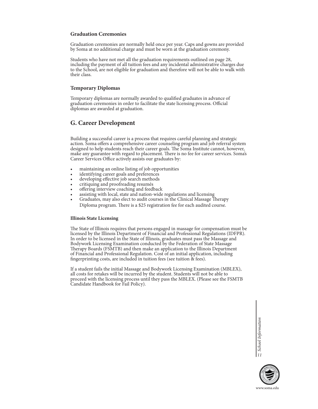### **Graduation Ceremonies**

Graduation ceremonies are normally held once per year. Caps and gowns are provided by Soma at no additional charge and must be worn at the graduation ceremony.

Students who have not met all the graduation requirements outlined on page 28, including the payment of all tuition fees and any incidental administrative charges due to the School, are not eligible for graduation and therefore will not be able to walk with their class.

### **Temporary Diplomas**

Temporary diplomas are normally awarded to qualified graduates in advance of graduation ceremonies in order to facilitate the state licensing process. Official diplomas are awarded at graduation.

# **G. Career Development**

Building a successful career is a process that requires careful planning and strategic action. Soma offers a comprehensive career counseling program and job referral system designed to help students reach their career goals. The Soma Institute cannot, however, make any guarantee with regard to placement. There is no fee for career services. Soma's Career Services Office actively assists our graduates by:

- 
- 
- 
- 
- 
- 
- maintaining an online listing of job opportunities<br>identifying career goals and preferences<br>developing effective job search methods<br>critiquing and proofreading resumés<br>offering interview coaching and feedback<br>assisting wit Diploma program. There is a \$25 registration fee for each audited course.

### **Illinois State Licensing**

The State of Illinois requires that persons engaged in massage for compensation must be licensed by the Illinois Department of Financial and Professional Regulations (IDFPR). In order to be licensed in the State of Illinois, graduates must pass the Massage and Bodywork Licensing Examination conducted by the Federation of State Massage Therapy Boards (FSMTB) and then make an application to the Illinois Department of Financial and Professional Regulation. Cost of an initial application, including fingerprinting costs, are included in tuition fees (see tuition  $\&$  fees).

If a student fails the initial Massage and Bodywork Licensing Examination (MBLEX), all costs for retakes will be incurred by the student. Students will not be able to proceed with the licensing process until they pass the MBLEX. (Please see the FSMTB Candidate Handbook for Fail Policy).

> School Information *11*

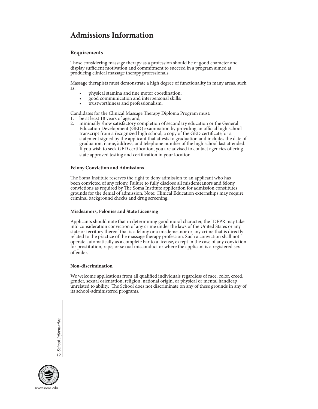# **Admissions Information**

### **Requirements**

Those considering massage therapy as a profession should be of good character and display sufficient motivation and commitment to succeed in a program aimed at producing clinical massage therapy professionals.

Massage therapists must demonstrate a high degree of functionality in many areas, such as:

- physical stamina and fine motor coordination;
- good communication and interpersonal skills;
- trustworthiness and professionalism.

Candidates for the Clinical Massage Therapy Diploma Program must:

- 1. be at least 18 years of age; and,<br>2. minimally show satisfactory co
- minimally show satisfactory completion of secondary education or the General Education Development (GED) examination by providing an official high school transcript from a recognized high school, a copy of the GED certificate, or a statement signed by the applicant that attests to graduation and includes the date of graduation, name, address, and telephone number of the high school last attended. If you wish to seek GED certification, you are advised to contact agencies offering state approved testing and certification in your location.

### **Felony Conviction and Admissions**

The Soma Institute reserves the right to deny admission to an applicant who has been convicted of any felony. Failure to fully disclose all misdemeanors and felony convictions as required by The Soma Institute application for admission constitutes grounds for the denial of admission. Note: Clinical Education externships may require criminal background checks and drug screening.

### **Misdeamors, Felonies and State Licensing**

Applicants should note that in determining good moral character, the IDFPR may take into consideration conviction of any crime under the laws of the United States or any state or territory thereof that is a felony or a misdemeanor or any crime that is directly related to the practice of the massage therapy profession. Such a conviction shall not operate automatically as a complete bar to a license, except in the case of any conviction for prostitution, rape, or sexual misconduct or where the applicant is a registered sex offender.

#### **Non-discrimination**

We welcome applications from all qualified individuals regardless of race, color, creed, gender, sexual orientation, religion, national origin, or physical or mental handicap unrelated to ability. The School does not discriminate on any of these grounds in any of its school-administered programs.

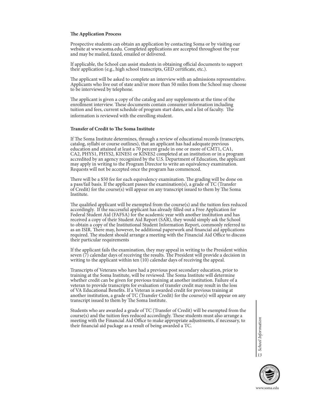### **The Application Process**

Prospective students can obtain an application by contacting Soma or by visiting our website at www.soma.edu. Completed applications are accepted throughout the year and may be mailed, faxed, emailed or delivered.

If applicable, the School can assist students in obtaining official documents to support their application (e.g., high school transcripts, GED certificate, etc.).

The applicant will be asked to complete an interview with an admissions representative. Applicants who live out of state and/or more than 50 miles from the School may choose to be interviewed by telephone.

The applicant is given a copy of the catalog and any supplements at the time of the enrollment interview. These documents contain consumer information including tuition and fees, current schedule of program start dates, and a list of faculty. The information is reviewed with the enrolling student.

### **Transfer of Credit to The Soma Institute**

If The Soma Institute determines, through a review of educational records (transcripts, catalog, syllabi or course outlines), that an applicant has had adequate previous education and attained at least a 70 percent grade in one or more of CMT1, CA1, CA2, PHYS1, PHYS2, KINES1 or KINES2 completed at an institution or in a program accredited by an agency recognized by the U.S. Department of Education, the applicant may apply in writing to the Program Director to write an equivalency examination. Requests will not be accepted once the program has commenced.

There will be a \$50 fee for each equivalency examination. The grading will be done on a pass/fail basis. If the applicant passes the examination(s), a grade of TC (Transfer of Credit) for the course $(s)$  will appear on any transcript issued to them by The Soma Institute.

The qualified applicant will be exempted from the course(s) and the tuition fees reduced accordingly. If the successful applicant has already filled out a Free Application for Federal Student Aid (FAFSA) for the academic year with another institution and has received a copy of their Student Aid Report (SAR), they would simply ask the School to obtain a copy of the Institutional Student Information Report, commonly referred to as an ISIR. There may, however, be additional paperwork and financial aid applications required. The student should arrange a meeting with the Financial Aid Office to discuss their particular requirements

If the applicant fails the examination, they may appeal in writing to the President within seven (7) calendar days of receiving the results. The President will provide a decision in writing to the applicant within ten (10) calendar days of receiving the appeal.

Transcripts of Veterans who have had a previous post secondary education, prior to training at the Soma Institute, will be reviewed. The Soma Institute will determine whether credit can be given for previous training at another institution. Failure of a veteran to provide transcripts for evaluation of transfer credit may result in the loss of VA Educational Benefits. If a Veteran is awarded credit for previous training at another institution, a grade of TC (Transfer Credit) for the course(s) will appear on any transcript issued to them by The Soma Institute.

Students who are awarded a grade of TC (Transfer of Credit) will be exempted from the course(s) and the tuition fees reduced accordingly. These students must also arrange a meeting with the Financial Aid Office to make appropriate adjustments, if necessary, to their financial aid package as a result of being awarded a TC.

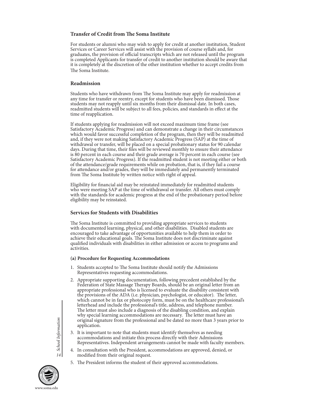# **Transfer of Credit from The Soma Institute**

For students or alumni who may wish to apply for credit at another institution, Student Services or Career Services will assist with the provision of course syllabi and, for graduates, the provision of official transcripts which are not released until the program is completed Applicants for transfer of credit to another institution should be aware that it is completely at the discretion of the other institution whether to accept credits from The Soma Institute.

### **Readmission**

Students who have withdrawn from The Soma Institute may apply for readmission at any time for transfer or reentry, except for students who have been dismissed. Those students may not reapply until six months from their dismissal date. In both cases, readmitted students will be subject to all fees, policies, and standards in effect at the time of reapplication.

If students applying for readmission will not exceed maximum time frame (see Satisfactory Academic Progress) and can demonstrate a change in their circumstances which would favor successful completion of the program, then they will be readmitted and, if they were not making Satisfactory Academic Progress (SAP) at the time of withdrawal or transfer, will be placed on a special probationary status for 90 calendar days. During that time, their files will be reviewed monthly to ensure their attendance is 80 percent in each course and their grade average is 70 percent in each course (see Satisfactory Academic Progress). If the readmitted student is not meeting either or both of the attendance/grade requirements while on probation, that is, if they fail a course for attendance and/or grades, they will be immediately and permanently terminated from The Soma Institute by written notice with right of appeal.

Eligibility for financial aid may be reinstated immediately for readmitted students who were meeting SAP at the time of withdrawal or transfer. All others must comply with the standards for academic progress at the end of the probationary period before eligibility may be reinstated.

### **Services for Students with Disabilities**

The Soma Institute is committed to providing appropriate services to students with documented learning, physical, and other disabilities. Disabled students are encouraged to take advantage of opportunities available to help them in order to achieve their educational goals. The Soma Institute does not discriminate against qualified individuals with disabilities in either admission or access to programs and activities.

### **(a) Procedure for Requesting Accommodations**

- 1. Students accepted to The Soma Institute should notify the Admissions Representatives requesting accommodations.
- 2. Appropriate supporting documentation, following precedent established by the Federation of State Massage Therapy Boards, should be an original letter from an appropriate professional who is licensed to evaluate the disability consistent with the provisions of the ADA (i.e. physician, psychologist, or educator). The letter, which cannot be in fax or photocopy form, must be on the healthcare professional's letterhead and include the professional's title, address, and telephone number. The letter must also include a diagnosis of the disabling condition, and explain why special learning accommodations are necessary. The letter must have an original signature from the professional and be dated no more than 3 years prior to application.
- 3. It is important to note that students must identify themselves as needing accommodations and initiate this process directly with their Admissions Representatives. Independent arrangements cannot be made with faculty members.
- 4. In consultation with the President, accommodations are approved, denied, or modified from their original request.
- 5. The President informs the student of their approved accommodations.

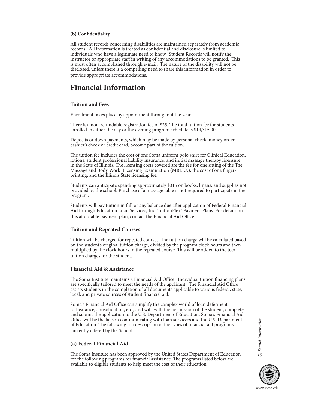### **(b) Confidentiality**

All student records concerning disabilities are maintained separately from academic records. All information is treated as confidential and disclosure is limited to individuals who have a legitimate need to know. Student Records will notify the instructor or appropriate staff in writing of any accommodations to be granted. This is most often accomplished through e-mail. The nature of the disability will not be disclosed, unless there is a compelling need to share this information in order to provide appropriate accommodations.

# **Financial Information**

### **Tuition and Fees**

Enrollment takes place by appointment throughout the year.

There is a non-refundable registration fee of \$25. The total tuition fee for students enrolled in either the day or the evening program schedule is \$14,315.00.

Deposits or down payments, which may be made by personal check, money order, cashier's check or credit card, become part of the tuition.

The tuition fee includes the cost of one Soma uniform polo shirt for Clinical Education, lotions, student professional liability insurance, and initial massage therapy licensure in the State of Illinois. The licensing costs covered are the fee for one sitting of the The Massage and Body Work Licensing Examination (MBLEX), the cost of one fingerprinting, and the Illinois State licensing fee.

Students can anticipate spending approximately \$315 on books, linens, and supplies not provided by the school. Purchase of a massage table is not required to participate in the program.

Students will pay tuition in full or any balance due after application of Federal Financial Aid through Education Loan Services, Inc. TuitionFlex® Payment Plans. For details on this affordable payment plan, contact the Financial Aid Office.

# **Tuition and Repeated Courses**

Tuition will be charged for repeated courses. The tuition charge will be calculated based on the student's original tuition charge, divided by the program clock hours and then multiplied by the clock hours in the repeated course. This will be added to the total tuition charges for the student.

### **Financial Aid & Assistance**

The Soma Institute maintains a Financial Aid Office. Individual tuition financing plans are specifically tailored to meet the needs of the applicant. The Financial Aid Office assists students in the completion of all documents applicable to various federal, state, local, and private sources of student financial aid.

Soma's Financial Aid Office can simplify the complex world of loan deferment, forbearance, consolidation, etc., and will, with the permission of the student, complete and submit the application to the U.S. Department of Education. Soma's Financial Aid Office will be the liaison communicating with loan servicers and the U.S. Department of Education. The following is a description of the types of financial aid programs currently offered by the School.

# **(a) Federal Financial Aid**

The Soma Institute has been approved by the United States Department of Education for the following programs for financial assistance. The programs listed below are available to eligible students to help meet the cost of their education.

School Information *15*

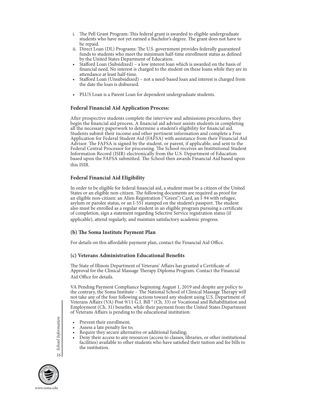- i. The Pell Grant Program: This federal grant is awarded to eligible undergraduate students who have not yet earned a Bachelor's degree. The grant does not have to be repaid.
- ii. Direct Loan (DL) Programs: The U.S. government provides federally guaranteed funds to students who meet the minimum half-time enrollment status as defined by the United States Department of Education.
- Stafford Loan (Subsidized) a low interest loan which is awarded on the basis of financial need. No interest is charged to the student on these loans while they are in attendance at least half-time.
- Stafford Loan (Unsubsidized) not a need-based loan and interest is charged from the date the loan is disbursed.
- PLUS Loan is a Parent Loan for dependent undergraduate students.

# **Federal Financial Aid Application Process:**

After prospective students complete the interview and admissions procedures, they begin the financial aid process. A financial aid advisor assists students in completing all the necessary paperwork to determine a student's eligibility for financial aid. Students submit their income and other pertinent information and complete a Free Application for Federal Student Aid (FAFSA) with assistance from their Financial Aid Advisor. The FAFSA is signed by the student, or parent, if applicable, and sent to the Federal Central Processor for processing. The School receives an Institutional Student Information Record (ISIR) electronically from the U.S. Department of Education based upon the FAFSA submitted. The School then awards Financial Aid based upon this ISIR.

# **Federal Financial Aid Eligibility**

In order to be eligible for federal financial aid, a student must be a citizen of the United States or an eligible non-citizen. The following documents are required as proof for an eligible non-citizen: an Alien Registration ("Green") Card, an I-94 with refugee, asylum or parolee status, or an I-551 stamped on the student's passport. The student also must be enrolled as a regular student in an eligible program pursuing a certificate of completion, sign a statement regarding Selective Service registration status (if applicable), attend regularly, and maintain satisfactory academic progress.

# **(b) The Soma Institute Payment Plan**

For details on this affordable payment plan, contact the Financial Aid Office.

# **(c) Veterans Administration Educational Benefits**

The State of Illinois Department of Veterans' Affairs has granted a Certificate of Approval for the Clinical Massage Therapy Diploma Program. Contact the Financial Aid Office for details.

VA Pending Payment Compliance beginning August 1, 2019 and despite any policy to the contrary, the Soma Institute – The National School of Clinical Massage Therapy will not take any of the four following actions toward any student using U.S. Department of Veterans Affairs (VA) Post 9/11 G.I. Bill ® (Ch. 33) or Vocational and Rehabilitation and Employment (Ch. 31) benefits, while their payment from the United States Department of Veterans Affairs is pending to the educational institution:

- Prevent their enrollment;
- Assess a late penalty fee to;
- Require they secure alternative or additional funding;
- Deny their access to any resources (access to classes, libraries, or other institutional facilities) available to other students who have satisfied their tuition and fee bills to the institution.

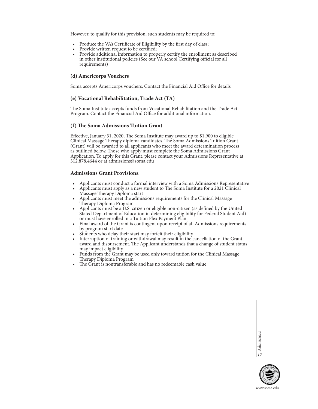However, to qualify for this provision, such students may be required to:

- Produce the VA's Certificate of Eligibility by the first day of class;
- Provide written request to be certified;
- Provide additional information to properly certify the enrollment as described in other institutional policies (See our VA school Certifying official for all requirements)

### **(d) Americorps Vouchers**

Soma accepts Americorps vouchers. Contact the Financial Aid Office for details

### **(e) Vocational Rehabilitation, Trade Act (TA)**

The Soma Institute accepts funds from Vocational Rehabilitation and the Trade Act Program. Contact the Financial Aid Office for additional information.

### **(f) The Soma Admissions Tuition Grant**

Effective, January 31, 2020, The Soma Institute may award up to \$1,900 to eligible Clinical Massage Therapy diploma candidates. The Soma Admissions Tuition Grant (Grant) will be awarded to all applicants who meet the award determination process as outlined below. Those who apply must complete the Soma Admissions Grant Application. To apply for this Grant, please contact your Admissions Representative at 312.878.4644 or at admissions@soma.edu

### **Admissions Grant Provisions**:

- Applicants must conduct a formal interview with a Soma Admissions Representative
- Applicants must apply as a new student to The Soma Institute for a 2021 Clinical Massage Therapy Diploma start
- Applicants must meet the admissions requirements for the Clinical Massage Therapy Diploma Program
- Applicants must be a U.S. citizen or eligible non-citizen (as defined by the United Stated Department of Education in determining eligibility for Federal Student Aid) or must have enrolled in a Tuition Flex Payment Plan
- Final award of the Grant is contingent upon receipt of all Admissions requirements by program start date
- Students who delay their start may forfeit their eligibility
- Interruption of training or withdrawal may result in the cancellation of the Grant award and disbursement. The Applicant understands that a change of student status
- may impact eligibility<br>• Funds from the Grant may be used only toward tuition for the Clinical Massage<br>• Therapy Diploma Program
- The Grant is nontransferable and has no redeemable cash value

17 Admissions

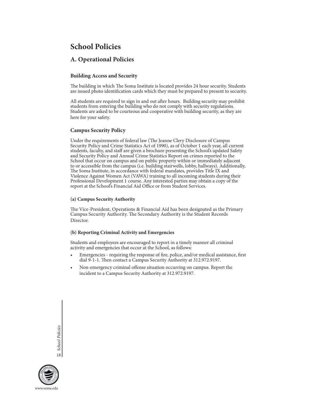# **School Policies**

# **A. Operational Policies**

# **Building Access and Security**

The building in which The Soma Institute is located provides 24 hour security. Students are issued photo identification cards which they must be prepared to present to security.

All students are required to sign in and out after hours. Building security may prohibit students from entering the building who do not comply with security regulations. Students are asked to be courteous and cooperative with building security, as they are here for your safety.

# **Campus Security Policy**

Under the requirements of federal law (The Jeanne Clery Disclosure of Campus Security Policy and Crime Statistics Act of 1990), as of October 1 each year, all current students, faculty, and staff are given a brochure presenting the School's updated Safety and Security Policy and Annual Crime Statistics Report on crimes reported to the School that occur on campus and on public property within or immediately adjacent to or accessible from the campus (i.e. building stairwells, lobby, hallways). Additionally, The Soma Institute, in accordance with federal mandates, provides Title IX and Violence Against Women Act (VAWA) training to all incoming students during their Professional Development 1 course. Any interested parties may obtain a copy of the report at the School's Financial Aid Office or from Student Services.

### **(a) Campus Security Authority**

The Vice-President, Operations & Financial Aid has been designated as the Primary Campus Security Authority. The Secondary Authority is the Student Records Director.

### **(b) Reporting Criminal Activity and Emergencies**

Students and employees are encouraged to report in a timely manner all criminal activity and emergencies that occur at the School, as follows:

- Emergencies requiring the response of fire, police, and/or medical assistance, first dial 9-1-1. Then contact a Campus Security Authority at 312.972.9197.
- Non-emergency criminal offense situation occurring on campus. Report the incident to a Campus Security Authority at 312.972.9197.

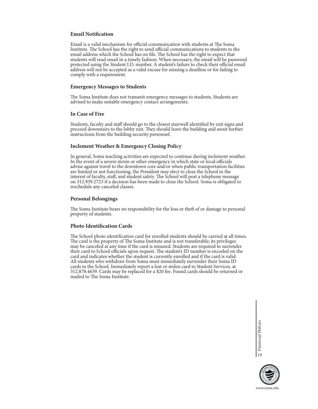### **Email Notification**

Email is a valid mechanism for official communication with students at The Soma Institute. The School has the right to send official communications to students to the email address which the School has on file. The School has the right to expect that students will read email in a timely fashion. When necessary, the email will be password protected using the Student I.D. number. A student's failure to check their official email address will not be accepted as a valid excuse for missing a deadline or for failing to comply with a requirement.

### **Emergency Messages to Students**

The Soma Institute does not transmit emergency messages to students. Students are advised to make suitable emergency contact arrangements.

### **In Case of Fire**

Students, faculty and staff should go to the closest stairwell identified by exit signs and proceed downstairs to the lobby exit. They should leave the building and await further instructions from the building security personnel.

### **Inclement Weather & Emergency Closing Policy**

In general, Soma teaching activities are expected to continue during inclement weather. In the event of a severe storm or other emergency in which state or local officials advise against travel to the downtown core and/or when public transportation facilities are limited or not functioning, the President may elect to close the School in the interest of faculty, staff, and student safety. The School will post a telephone message on 312.939.2723 if a decision has been made to close the School. Soma is obligated to reschedule any canceled classes.

### **Personal Belongings**

The Soma Institute bears no responsibility for the loss or theft of or damage to personal property of students.

### **Photo Identification Cards**

The School photo identification card for enrolled students should be carried at all times. The card is the property of The Soma Institute and is not transferable; its privileges may be canceled at any time if the card is misused. Students are required to surrender their card to School officials upon request. The student's ID number is encoded on the card and indicates whether the student is currently enrolled and if the card is valid. All students who withdraw from Soma must immediately surrender their Soma ID cards to the School. Immediately report a lost or stolen card to Student Services, at 312.878.4639. Cards may be replaced for a \$20 fee. Found cards should be returned or mailed to The Soma Institute.

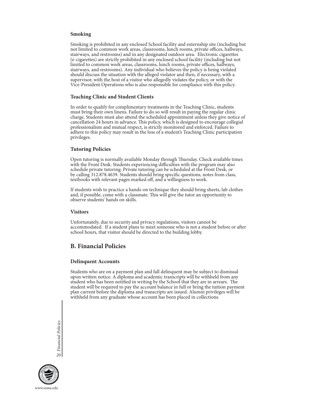### **Smoking**

Smoking is prohibited in any enclosed School facility and externship site (including but not limited to common work areas, classrooms, lunch rooms, private offices, hallways, stairways, and restrooms) and in any designated outdoor area. Electronic cigarettes (e-cigarettes) are strictly prohibited in any enclosed school facility (including but not limited to common work areas, classrooms, lunch rooms, private offices, hallways, stairways, and restrooms). Any individual who believes the policy is being violated should discuss the situation with the alleged violator and then, if necessary, with a supervisor, with the host of a visitor who allegedly violates the policy, or with the Vice-President Operations who is also responsible for compliance with this policy.

### **Teaching Clinic and Student Clients**

In order to qualify for complimentary treatments in the Teaching Clinic, students must bring their own linens. Failure to do so will result in paying the regular clinic charge. Students must also attend the scheduled appointment unless they give notice of cancellation 24 hours in advance. This policy, which is designed to encourage collegial professionalism and mutual respect, is strictly monitored and enforced. Failure to adhere to this policy may result in the loss of a student's Teaching Clinic participation privileges.

### **Tutoring Policies**

Open tutoring is normally available Monday through Thursday. Check available times with the Front Desk. Students experiencing difficulties with the program may also schedule private tutoring. Private tutoring can be scheduled at the Front Desk, or by calling 312.878.4639. Students should bring specific questions, notes from class, textbooks with relevant pages marked off, and a willingness to work.

If students wish to practice a hands-on technique they should bring sheets, lab clothes and, if possible, come with a classmate. This will give the tutor an opportunity to observe students' hands on skills.

### **Visitors**

Unfortunately, due to security and privacy regulations, visitors cannot be accommodated. If a student plans to meet someone who is not a student before or after school hours, that visitor should be directed to the building lobby.

# **B. Financial Policies**

### **Delinquent Accounts**

Students who are on a payment plan and fall delinquent may be subject to dismissal upon written notice. A diploma and academic transcripts will be withheld from any student who has been notified in writing by the School that they are in arrears. The student will be required to pay the account balance in full or bring the tuition payment plan current before the diploma and transcripts are issued. Alumni privileges will be withheld from any graduate whose account has been placed in collections.

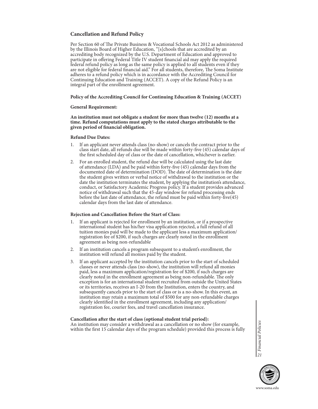# **Cancellation and Refund Policy**

Per Section 60 of The Private Business & Vocational Schools Act 2012 as administered by the Illinois Board of Higher Education, "[s]chools that are accredited by an accrediting body recognized by the U.S. Department of Education and approved to participate in offering Federal Title IV student financial aid may apply the required federal refund policy as long as the same policy is applied to all students even if they are not eligible for federal financial aid." For all students, therefore, The Soma Institute adheres to a refund policy which is in accordance with the Accrediting Council for Continuing Education and Training (ACCET). A copy of the Refund Policy is an integral part of the enrollment agreement.

### **Policy of the Accrediting Council for Continuing Education & Training (ACCET)**

### **General Requirement:**

**An institution must not obligate a student for more than twelve (12) months at a time. Refund computations must apply to the stated charges attributable to the given period of financial obligation.** 

### **Refund Due Dates:**

- 1. If an applicant never attends class (no-show) or cancels the contract prior to the class start date, all refunds due will be made within forty-five (45) calendar days of the first scheduled day of class or the date of cancellation, whichever is earlier.
- 2. For an enrolled student, the refund due will be calculated using the last date of attendance (LDA) and be paid within forty-five (45) calendar days from the documented date of determination (DOD). The date of determination is the date the student gives written or verbal notice of withdrawal to the institution or the date the institution terminates the student, by applying the institution's attendance, conduct, or Satisfactory Academic Progress policy. If a student provides advanced notice of withdrawal such that the 45-day window for refund processing ends before the last date of attendance, the refund must be paid within forty-five(45) calendar days from the last date of attendance.

### **Rejection and Cancellation Before the Start of Class:**

- 1. If an applicant is rejected for enrollment by an institution, or if a prospective international student has his/her visa application rejected, a full refund of all tuition monies paid will be made to the applicant less a maximum application/ registration fee of \$200, if such charges are clearly noted in the enrollment agreement as being non-refundable
- 2. If an institution cancels a program subsequent to a student's enrollment, the institution will refund all monies paid by the student.
- 3. If an applicant accepted by the institution cancels prior to the start of scheduled classes or never attends class (no-show), the institution will refund all monies paid, less a maximum application/registration fee of \$200, if such charges are clearly noted in the enrollment agreement as being non-refundable. The only exception is for an international student recruited from outside the United States or its territories, receives an I-20 from the Institution, enters the country, and subsequently cancels prior to the start of class or is a no-show. In this event, an institution may retain a maximum total of \$500 for any non-refundable charges clearly identified in the enrollment agreement, including any application/ registration fee, courier fees, and travel cancellation insurance.

### **Cancellation after the start of class (optional student trial period):**

An institution may consider a withdrawal as a cancellation or no show (for example, within the first 15 calendar days of the program schedule) provided this process is fully

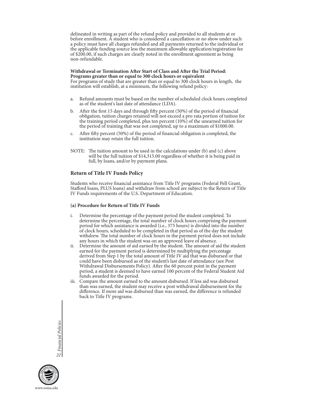delineated in writing as part of the refund policy and provided to all students at or before enrollment. A student who is considered a cancellation or no show under such a policy must have all charges refunded and all payments returned to the individual or the applicable funding source less the maximum allowable application/registration fee of \$200.00, if such charges are clearly noted in the enrollment agreement as being non-refundable.

# **Withdrawal or Termination After Start of Class and After the Trial Period: Programs greater than or equal to 300 clock hours or equivalent**

For programs of study that are greater than or equal to 300 clock hours in length, the institution will establish, at a minimum, the following refund policy:

- a. Refund amounts must be based on the number of scheduled clock hours completed as of the student's last date of attendance (LDA).
- b. After the first 15 days and through fifty percent (50%) of the period of financial obligation, tuition charges retained will not exceed a pro rata portion of tuition for the training period completed, plus ten percent (10%) of the unearned tuition for the period of training that was not completed, up to a maximum of \$1000.00.
- c. After fifty percent (50%) of the period of financial obligation is completed, the institution may retain the full tuition.
- NOTE: The tuition amount to be used in the calculations under (b) and (c) above will be the full tuition of \$14,315.00 regardless of whether it is being paid in full, by loans, and/or by payment plans.

### **Return of Title IV Funds Policy**

Students who receive financial assistance from Title IV programs (Federal Pell Grant, Stafford loans, PLUS loans) and withdraw from school are subject to the Return of Title IV Funds requirements of the U.S. Department of Education.

### **(a) Procedure for Return of Title IV Funds**

- i. Determine the percentage of the payment period the student completed. To determine the percentage, the total number of clock hours comprising the payment period for which assistance is awarded (i.e., 375 hours) is divided into the number of clock hours, scheduled to be completed in that period as of the day the student withdrew. The total number of clock hours in the payment period does not include any hours in which the student was on an approved leave of absence.
- ii. Determine the amount of aid earned by the student. The amount of aid the student earned for the payment period is determined by multiplying the percentage derived from Step 1 by the total amount of Title IV aid that was disbursed or that could have been disbursed as of the student's last date of attendance (see Post Withdrawal Disbursements Policy). After the 60 percent point in the payment period, a student is deemed to have earned 100 percent of the Federal Student Aid funds awarded for the period.
- iii. Compare the amount earned to the amount disbursed. If less aid was disbursed than was earned, the student may receive a post withdrawal disbursement for the difference. If more aid was disbursed than was earned, the difference is refunded back to Title IV programs.

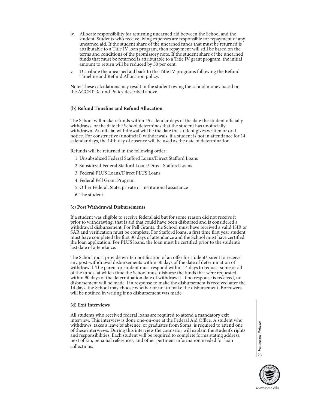- iv. Allocate responsibility for returning unearned aid between the School and the student. Students who receive living expenses are responsible for repayment of any unearned aid. If the student share of the unearned funds that must be returned is attributable to a Title IV loan program, then repayment will still be based on the terms and conditions of the promissory note. If the student share of the unearned funds that must be returned is attributable to a Title IV grant program, the initial amount to return will be reduced by 50 per cent.
- v. Distribute the unearned aid back to the Title IV programs following the Refund Timeline and Refund Allocation policy.

Note: These calculations may result in the student owing the school money based on the ACCET Refund Policy described above.

### **(b) Refund Timeline and Refund Allocation**

The School will make refunds within 45 calendar days of the date the student officially withdraws, or the date the School determines that the student has unofficially withdrawn. An official withdrawal will be the date the student gives written or oral notice. For constructive (unofficial) withdrawals, if a student is not in attendance for 14 calendar days, the 14th day of absence will be used as the date of determination.

Refunds will be returned in the following order:

- 1. Unsubsidized Federal Stafford Loans/Direct Stafford Loans
- 2. Subsidized Federal Stafford Loans/Direct Stafford Loans
- 3. Federal PLUS Loans/Direct PLUS Loans
- 4. Federal Pell Grant Program
- 5. Other Federal, State, private or institutional assistance
- 6. The student

### **(c) Post Withdrawal Disbursements**

If a student was eligible to receive federal aid but for some reason did not receive it prior to withdrawing, that is aid that could have been disbursed and is considered a withdrawal disbursement. For Pell Grants, the School must have received a valid ISIR or SAR and verification must be complete. For Stafford loans, a first time first year student must have completed the first 30 days of attendance and the School must have certified the loan application. For PLUS loans, the loan must be certified prior to the student's last date of attendance.

The School must provide written notification of an offer for student/parent to receive any post-withdrawal disbursements within 30 days of the date of determination of withdrawal. The parent or student must respond within 14 days to request some or all of the funds, at which time the School must disburse the funds that were requested within 90 days of the determination date of withdrawal. If no response is received, no disbursement will be made. If a response to make the disbursement is received after the 14 days, the School may choose whether or not to make the disbursement. Borrowers will be notified in writing if no disbursement was made.

### **(d) Exit Interviews**

All students who received federal loans are required to attend a mandatory exit interview. This interview is done one-on-one at the Federal Aid Office. A student who withdraws, takes a leave of absence, or graduates from Soma, is required to attend one of these interviews. During this interview the counselor will explain the student's rights and responsibilities. Each student will be required to complete forms stating address, next of kin, personal references, and other pertinent information needed for loan collections.

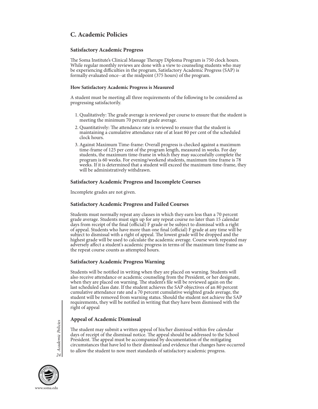# **C. Academic Policies**

### **Satisfactory Academic Progress**

The Soma Institute's Clinical Massage Therapy Diploma Program is 750 clock hours. While regular monthly reviews are done with a view to counseling students who may be experiencing difficulties in the program, Satisfactory Academic Progress (SAP) is formally evaluated once--at the midpoint (375 hours) of the program.

### **How Satisfactory Academic Progress is Measured**

A student must be meeting all three requirements of the following to be considered as progressing satisfactorily.

- 1. Qualitatively: The grade average is reviewed per course to ensure that the student is meeting the minimum 70 percent grade average.
- 2. Quantitatively: The attendance rate is reviewed to ensure that the student is maintaining a cumulative attendance rate of at least 80 per cent of the scheduled clock hours.
- 3. Against Maximum Time-frame: Overall progress is checked against a maximum time-frame of 125 per cent of the program length, measured in weeks. For day students, the maximum time-frame in which they may successfully complete the program is 60 weeks. For evening/weekend students, maximum time frame is 78 weeks. If it is determined that a student will exceed the maximum time-frame, they will be administratively withdrawn.

### **Satisfactory Academic Progress and Incomplete Courses**

Incomplete grades are not given.

### **Satisfactory Academic Progress and Failed Courses**

Students must normally repeat any classes in which they earn less than a 70 percent grade average. Students must sign up for any repeat course no later than 15 calendar days from receipt of the final (official) F grade or be subject to dismissal with a right of appeal. Students who have more than one final (official) F grade at any time will be subject to dismissal with a right of appeal. The lowest grade will be dropped and the highest grade will be used to calculate the academic average. Course work repeated may adversely affect a student's academic progress in terms of the maximum time frame as the repeat course counts as attempted hours.

### **Satisfactory Academic Progress Warning**

Students will be notified in writing when they are placed on warning. Students will also receive attendance or academic counseling from the President, or her designate, when they are placed on warning. The student's file will be reviewed again on the last scheduled class date. If the student achieves the SAP objectives of an 80 percent cumulative attendance rate and a 70 percent cumulative weighted grade average, the student will be removed from warning status. Should the student not achieve the SAP requirements, they will be notified in writing that they have been dismissed with the right of appeal

### **Appeal of Academic Dismissal**

The student may submit a written appeal of his/her dismissal within five calendar days of receipt of the dismissal notice. The appeal should be addressed to the School President. The appeal must be accompanied by documentation of the mitigating circumstances that have led to their dismissal and evidence that changes have occurred **Example 10 Academic Disinissal**<br>
The student may submit a written appeal of his/her dismissal within five calendarys of receipt of the dismissal notice. The appeal should be addressed to the stress. President. The appeal

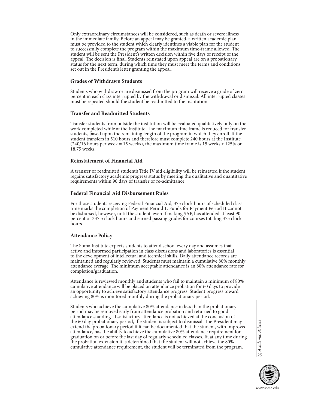Only extraordinary circumstances will be considered, such as death or severe illness in the immediate family. Before an appeal may be granted, a written academic plan must be provided to the student which clearly identifies a viable plan for the student to successfully complete the program within the maximum time-frame allowed. The student will be sent the President's written decision within five days of receipt of the appeal. The decision is final. Students reinstated upon appeal are on a probationary status for the next term, during which time they must meet the terms and conditions set out in the President's letter granting the appeal.

### **Grades of Withdrawn Students**

Students who withdraw or are dismissed from the program will receive a grade of zero percent in each class interrupted by the withdrawal or dismissal. All interrupted classes must be repeated should the student be readmitted to the institution.

### **Transfer and Readmitted Students**

Transfer students from outside the institution will be evaluated qualitatively only on the work completed while at the Institute. The maximum time frame is reduced for transfer students, based upon the remaining length of the program in which they enroll. If the student transfers in 510 hours and therefore must complete 240 hours at the Institute (240/16 hours per week = 15 weeks), the maximum time frame is 15 weeks x 125% or 18.75 weeks.

### **Reinstatement of Financial Aid**

A transfer or readmitted student's Title IV aid eligibility will be reinstated if the student regains satisfactory academic progress status by meeting the qualitative and quantitative requirements within 90 days of transfer or re-admittance.

### **Federal Financial Aid Disbursement Rules**

For those students receiving Federal Financial Aid, 375 clock hours of scheduled class time marks the completion of Payment Period 1. Funds for Payment Period II cannot be disbursed, however, until the student, even if making SAP, has attended at least 90 percent or 337.5 clock hours and earned passing grades for courses totaling 375 clock hours.

### **Attendance Policy**

The Soma Institute expects students to attend school every day and assumes that active and informed participation in class discussions and laboratories is essential to the development of intellectual and technical skills. Daily attendance records are maintained and regularly reviewed. Students must maintain a cumulative 80% monthly attendance average. The minimum acceptable attendance is an 80% attendance rate for completion/graduation.

Attendance is reviewed monthly and students who fail to maintain a minimum of 80% cumulative attendance will be placed on attendance probation for 60 days to provide an opportunity to achieve satisfactory attendance progress. Student progress toward achieving 80% is monitored monthly during the probationary period.

Students who achieve the cumulative 80% attendance in less than the probationary period may be removed early from attendance probation and returned to good attendance standing. If satisfactory attendance is not achieved at the conclusion of the 60 day probationary period, the student is subject to dismissal. The President may extend the probationary period if it can be documented that the student, with improved attendance, has the ability to achieve the cumulative 80% attendance requirement for graduation on or before the last day of regularly scheduled classes. If, at any time during the probation extension it is determined that the student will not achieve the 80% cumulative attendance requirement, the student will be terminated from the program.

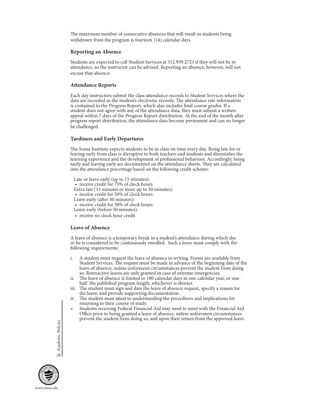The maximum number of consecutive absences that will result in students being withdrawn from the program is fourteen (14) calendar days.

### **Reporting an Absence**

Students are expected to call Student Services at 312.939.2723 if they will not be in attendance, so the instructor can be advised. Reporting an absence, however, will not excuse that absence.

### **Attendance Reports**

Each day instructors submit the class attendance records to Student Services where the data are recorded in the student's electronic records. The attendance rate information is contained in the Progress Report, which also includes final course grades. If a student does not agree with any of the attendance data, they must submit a written appeal within 7 days of the Progress Report distribution. At the end of the month after progress report distribution, the attendance data become permanent and can no longer be challenged.

### **Tardiness and Early Departures**

The Soma Institute expects students to be in class on time every day. Being late for or leaving early from class is disruptive to both teachers and students and diminishes the learning experience and the development of professional behaviors. Accordingly, being tardy and leaving early are documented on the attendance sheets. They are calculated into the attendance percentage based on the following credit scheme:

 Late or leave early (up to 15 minutes): • receive credit for 75% of clock hours Extra late (15 minutes or more up to 50 minutes):

• receive credit for 50% of clock hours

Leave early (after 50 minutes):

• receive credit for 50% of clock hours

Leave early (before 50 minutes):

• receive no clock hour credit

### **Leave of Absence**

A leave of absence is a temporary break in a student's attendance during which she or he is considered to be continuously enrolled. Such a leave must comply with the following requirements:

- i. A student must request the leave of absence in writing. Forms are available from Student Services. The request must be made in advance of the beginning date of the leave of absence, unless unforeseen circumstances prevent the student from doing so. Retroactive leaves are only granted in case of extreme emergencies.
- ii. The leave of absence is limited to 180 calendar days in one calendar year, or onehalf the published program length, whichever is shorter.
- iii. The student must sign and date the leave of absence request, specify a reason for the leave, and provide supporting documentation.
- iv. The student must attest to understanding the procedures and implications for
- returning to their course of study. v. Students receiving Federal Financial Aid may need to meet with the Financial Aid Office prior to being granted a leave of absence, unless unforeseen circumstances prevent the student from doing so, and upon their return from the approved leave.

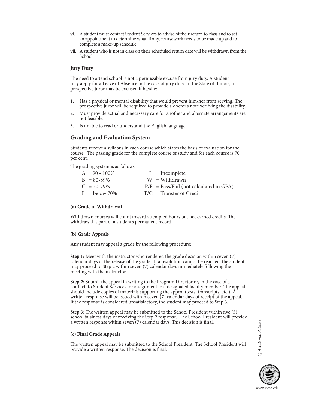- vi. A student must contact Student Services to advise of their return to class and to set an appointment to determine what, if any, coursework needs to be made up and to complete a make-up schedule.
- vii. A student who is not in class on their scheduled return date will be withdrawn from the School.

### **Jury Duty**

The need to attend school is not a permissible excuse from jury duty. A student may apply for a Leave of Absence in the case of jury duty. In the State of Illinois, a prospective juror may be excused if he/she:

- 1. Has a physical or mental disability that would prevent him/her from serving. The prospective juror will be required to provide a doctor's note verifying the disability.
- 2. Must provide actual and necessary care for another and alternate arrangements are not feasible.
- 3. Is unable to read or understand the English language.

### **Grading and Evaluation System**

Students receive a syllabus in each course which states the basis of evaluation for the course. The passing grade for the complete course of study and for each course is 70 per cent.

The grading system is as follows:

| $A = 90 - 100\%$        | $I = Incomplete$                          |
|-------------------------|-------------------------------------------|
| $B = 80 - 89\%$         | $W = With drawn$                          |
| $C_{\rm t} = 70 - 79\%$ | $P/F = Pass/fail$ (not calculated in GPA) |
| $F =$ below 70%         | $T/C =$ Transfer of Credit                |

### **(a) Grade of Withdrawal**

Withdrawn courses will count toward attempted hours but not earned credits. The withdrawal is part of a student's permanent record.

#### **(b) Grade Appeals**

Any student may appeal a grade by the following procedure:

**Step 1:** Meet with the instructor who rendered the grade decision within seven (7) calendar days of the release of the grade. If a resolution cannot be reached, the student may proceed to Step 2 within seven (7) calendar days immediately following the meeting with the instructor.

**Step 2:** Submit the appeal in writing to the Program Director or, in the case of a conflict, to Student Services for assignment to a designated faculty member. The appeal should include copies of materials supporting the appeal (tests, transcripts, etc.). A written response will be issued within seven (7) calendar days of receipt of the appeal. If the response is considered unsatisfactory, the student may proceed to Step 3.

**Step 3:** The written appeal may be submitted to the School President within five (5) school business days of receiving the Step 2 response. The School President will provide a written response within seven (7) calendar days. This decision is final.

#### **(c) Final Grade Appeals**

The written appeal may be submitted to the School President. The School President will provide a written response. The decision is final.

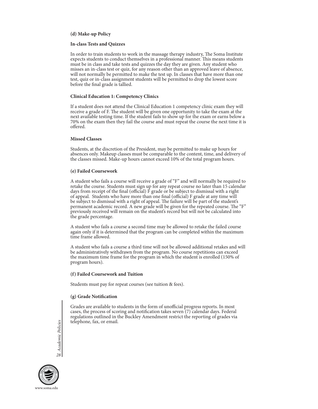### **(d) Make-up Policy**

### **In-class Tests and Quizzes**

In order to train students to work in the massage therapy industry, The Soma Institute expects students to conduct themselves in a professional manner. This means students must be in class and take tests and quizzes the day they are given. Any student who misses an in-class test or quiz, for any reason other than an approved leave of absence, will not normally be permitted to make the test up. In classes that have more than one test, quiz or in-class assignment students will be permitted to drop the lowest score before the final grade is tallied.

### **Clinical Education 1: Competency Clinics**

If a student does not attend the Clinical Education 1 competency clinic exam they will receive a grade of F. The student will be given one opportunity to take the exam at the next available testing time. If the student fails to show up for the exam or earns below a 70% on the exam then they fail the course and must repeat the course the next time it is offered.

### **Missed Classes**

Students, at the discretion of the President, may be permitted to make up hours for absences only. Makeup classes must be comparable to the content, time, and delivery of the classes missed. Make-up hours cannot exceed 10% of the total program hours.

### **(e) Failed Coursework**

A student who fails a course will receive a grade of "F" and will normally be required to retake the course. Students must sign up for any repeat course no later than 15 calendar days from receipt of the final (official)  $\vec{F}$  grade or be subject to dismissal with a right of appeal. Students who have more than one final (official) F grade at any time will be subject to dismissal with a right of appeal. The failure will be part of the student's permanent academic record. A new grade will be given for the repeated course. The "F" previously received will remain on the student's record but will not be calculated into the grade percentage.

A student who fails a course a second time may be allowed to retake the failed course again only if it is determined that the program can be completed within the maximum time frame allowed.

A student who fails a course a third time will not be allowed additional retakes and will be administratively withdrawn from the program. No course repetitions can exceed the maximum time frame for the program in which the student is enrolled (150% of program hours).

### **(f) Failed Coursework and Tuition**

Students must pay for repeat courses (see tuition & fees).

### **(g) Grade Notification**

Grades are available to students in the form of unofficial progress reports. In most cases, the process of scoring and notification takes seven (7) calendar days. Federal regulations outlined in the Buckley Amendment restrict the reporting of grades via telephone, fax, or email.

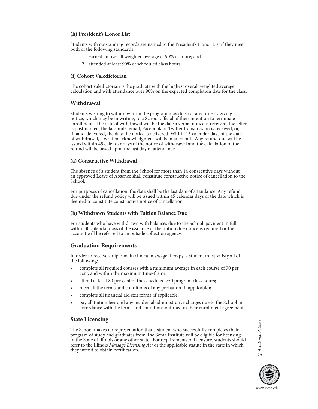# **(h) President's Honor List**

Students with outstanding records are named to the President's Honor List if they meet both of the following standards:

- 1. earned an overall weighted average of 90% or more; and
- 2. attended at least 90% of scheduled class hours

# **(i) Cohort Valedictorian**

The cohort valedictorian is the graduate with the highest overall weighted average calculation and with attendance over 90% on the expected completion date for the class.

# **Withdrawal**

Students wishing to withdraw from the program may do so at any time by giving notice, which may be in writing, to a School official of their intention to terminate enrollment. The date of withdrawal will be the date a verbal notice is received, the letter is postmarked, the facsimile, email, Facebook or Twitter transmission is received, or, if hand-delivered, the date the notice is delivered. Within 15 calendar days of the date of withdrawal, a written acknowledgment will be mailed out. Any refund due will be issued within 45 calendar days of the notice of withdrawal and the calculation of the refund will be based upon the last day of attendance.

# **(a) Constructive Withdrawal**

The absence of a student from the School for more than 14 consecutive days without an approved Leave of Absence shall constitute constructive notice of cancellation to the School.

For purposes of cancellation, the date shall be the last date of attendance. Any refund due under the refund policy will be issued within 45 calendar days of the date which is deemed to constitute constructive notice of cancellation.

# **(b) Withdrawn Students with Tuition Balance Due**

For students who have withdrawn with balances due to the School, payment in full within 30 calendar days of the issuance of the tuition due notice is required or the account will be referred to an outside collection agency.

# **Graduation Requirements**

In order to receive a diploma in clinical massage therapy, a student must satisfy all of the following:

- complete all required courses with a minimum average in each course of 70 per cent, and within the maximum time-frame;
- attend at least 80 per cent of the scheduled 750 program class hours;
- meet all the terms and conditions of any probation (if applicable);
- complete all financial aid exit forms, if applicable;
- pay all tuition fees and any incidental administrative charges due to the School in accordance with the terms and conditions outlined in their enrollment agreement.

# **State Licensing**

The School makes no representation that a student who successfully completes their program of study and graduates from The Soma Institute will be eligible for licensing in the State of Illinois or any other state. For requirements of licensure, students should refer to the Illinois *Massage Licensing Act* or the applicable statute in the state in which they intend to obtain certification.



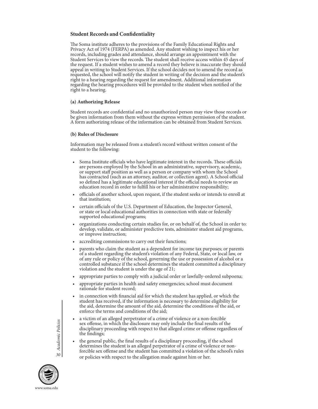### **Student Records and Confidentiality**

The Soma institute adheres to the provisions of the Family Educational Rights and Privacy Act of 1974 (FERPA) as amended. Any student wishing to inspect his or her records, including grades and attendance, should arrange an appointment with the Student Services to view the records. The student shall receive access within 45 days of the request. If a student wishes to amend a record they believe is inaccurate they should appeal in writing to Student Services. If the school decides not to amend the record as requested, the school will notify the student in writing of the decision and the student's right to a hearing regarding the request for amendment. Additional information regarding the hearing procedures will be provided to the student when notified of the right to a hearing.

### **(a) Authorizing Release**

Student records are confidential and no unauthorized person may view those records or be given information from them without the express written permission of the student. A form authorizing release of the information can be obtained from Student Services.

### **(b) Rules of Disclosure**

Information may be released from a student's record without written consent of the student to the following:

- Soma Institute officials who have legitimate interest in the records. These officials are persons employed by the School in an administrative, supervisory, academic, or support staff position as well as a person or company with whom the School has contracted (such as an attorney, auditor, or collection agent). A School official so defined has a legitimate educational interest if the official needs to review an education record in order to fulfill his or her administrative responsibility;
- officials of another school, upon request, if the student seeks or intends to enroll at that institution;
- certain officials of the U.S. Department of Education, the Inspector General, or state or local educational authorities in connection with state or federally supported educational programs;
- organizations conducting certain studies for, or on behalf of, the School in order to: develop, validate, or administer predictive tests, administer student aid programs, or improve instruction;
- accrediting commissions to carry out their functions;
- parents who claim the student as a dependent for income tax purposes; or parents of a student regarding the student's violation of any Federal, State, or local law, or of any rule or policy of the school, governing the use or possession of alcohol or a controlled substance if the school determines the student committed a disciplinary violation and the student is under the age of 21;
- appropriate parties to comply with a judicial order or lawfully-ordered subpoena;
- appropriate parties in health and safety emergencies; school must document rationale for student record;
- in connection with financial aid for which the student has applied, or which the student has received, if the information is necessary to determine eligibility for the aid, determine the amount of the aid, determine the conditions of the aid, or enforce the terms and conditions of the aid;
- a victim of an alleged perpetrator of a crime of violence or a non-forcible sex offense, in which the disclosure may only include the final results of the disciplinary proceeding with respect to that alleged crime or offense regardless of the findings;
- the general public, the final results of a disciplinary proceeding, if the school determines the student is an alleged perpetrator of a crime of violence or nonforcible sex offense and the student has committed a violation of the school's rules or policies with respect to the allegation made against him or her. *<sup>30</sup>*

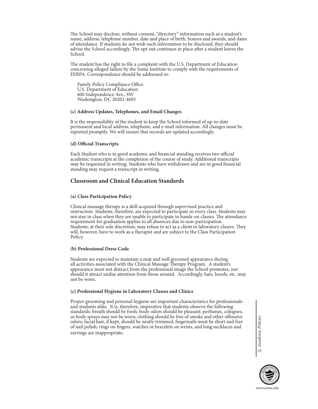The School may disclose, without consent, "directory" information such as a student's name, address, telephone number, date and place of birth, honors and awards, and dates of attendance. If students do not wish such information to be disclosed, they should advise the School accordingly. The opt-out continues in place after a student leaves the School.

The student has the right to file a complaint with the U.S. Department of Education concerning alleged failure by the Soma Institute to comply with the requirements of FERPA. Correspondence should be addressed to:

 Family Policy Compliance Office U.S. Department of Education 600 Independence Ave., SW Washington, DC 20202-4605

### **(c) Address Updates, Telephones, and Email Changes**

It is the responsibility of the student to keep the School informed of up-to-date permanent and local address, telephone, and e-mail information. All changes must be reported promptly. We will ensure that records are updated accordingly.

### **(d) Official Transcripts**

Each Student who is in good academic and financial standing receives two official academic transcripts at the completion of the course of study. Additional transcripts may be requested in writing. Students who have withdrawn and are in good financial standing may request a transcript in writing.

# **Classroom and Clinical Education Standards**

### **(a) Class Participation Policy**

Clinical massage therapy is a skill acquired through supervised practice and instruction. Students, therefore, are expected to participate in every class. Students may not stay in class when they are unable to participate in hands-on classes. The attendance requirement for graduation applies to all absences due to non-participation. Students, at their sole discretion, may refuse to act as a client in laboratory classes. They will, however, have to work as a therapist and are subject to the Class Participation Policy.

### **(b) Professional Dress Code**

Students are expected to maintain a neat and well groomed appearance during all activities associated with the Clinical Massage Therapy Program. A student's appearance must not distract from the professional image the School promotes, nor should it attract undue attention from those around. Accordingly, hats, hoods, etc. may not be worn.

### **(c) Professional Hygiene in Laboratory Classes and Clinics**

Proper grooming and personal hygiene are important characteristics for professionals and students alike. It is, therefore, imperative that students observe the following standards: breath should be fresh; body odors should be pleasant; perfumes, colognes, or body sprays may not be worn; clothing should be free of smoke and other offensive odors; facial hair, if kept, should be neatly trimmed; fingernails must be short and free of nail polish; rings on fingers, watches or bracelets on wrists, and long necklaces and earrings are inappropriate.

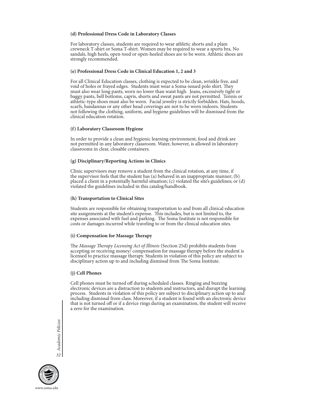### **(d) Professional Dress Code in Laboratory Classes**

For laboratory classes, students are required to wear athletic shorts and a plain crewneck T-shirt or Soma T-shirt. Women may be required to wear a sports bra. No sandals, high heels, open-toed or open-heeled shoes are to be worn. Athletic shoes are strongly recommended.

### **(e) Professional Dress Code in Clinical Education 1, 2 and 3**

For all Clinical Education classes, clothing is expected to be clean, wrinkle free, and void of holes or frayed edges. Students must wear a Soma-issued polo shirt. They must also wear long pants, worn no lower than waist high. Jeans, excessively tight or baggy pants, bell bottoms, capris, shorts and sweat pants are not permitted. Tennis or athletic-type shoes must also be worn. Facial jewelry is strictly forbidden. Hats, hoods, scarfs, bandannas or any other head coverings are not to be worn indoors. Students not following the clothing, uniform, and hygiene guidelines will be dismissed from the clinical education rotation.

### **(f) Laboratory Classroom Hygiene**

In order to provide a clean and hygienic learning environment, food and drink are not permitted in any laboratory classroom. Water, however, is allowed in laboratory classrooms in clear, closable containers.

### **(g) Disciplinary/Reporting Actions in Clinics**

Clinic supervisors may remove a student from the clinical rotation, at any time, if the supervisor feels that the student has (a) behaved in an inappropriate manner; (b) placed a client in a potentially harmful situation; (c) violated the site's guidelines; or (d) violated the guidelines included in this catalog/handbook.

### **(h) Transportation to Clinical Sites**

Students are responsible for obtaining transportation to and from all clinical education site assignments at the student's expense. This includes, but is not limited to, the expenses associated with fuel and parking. The Soma Institute is not responsible for costs or damages incurred while traveling to or from the clinical education sites.

### **(i) Compensation for Massage Therapy**

The *Massage Therapy Licensing Act of Illinois* (Section 25d) prohibits students from accepting or receiving money/ compensation for massage therapy before the student is licensed to practice massage therapy. Students in violation of this policy are subject to disciplinary action up to and including dismissal from The Soma Institute.

# **(j) Cell Phones**

Cell phones must be turned off during scheduled classes. Ringing and buzzing electronic devices are a distraction to students and instructors, and disrupt the learning process. Students in violation of this policy are subject to disciplinary action up to and including dismissal from class. Moreover, if a student is found with an electronic device that is not turned off or if a device rings during an examination, the student will receive a zero for the examination.

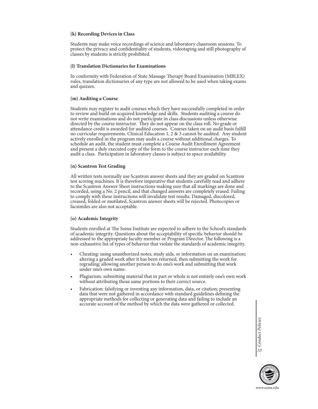### **(k) Recording Devices in Class**

Students may make voice recordings of science and laboratory classroom sessions. To protect the privacy and confidentiality of students, videotaping and still photography of classes by students is strictly prohibited.

### **(l) Translation Dictionaries for Examinations**

In conformity with Federation of State Massage Therapy Board Examination (MBLEX) rules, translation dictionaries of any type are not allowed to be used when taking exams and quizzes.

### **(m) Auditing a Course**

Students may register to audit courses which they have successfully completed in order to review and build on acquired knowledge and skills. Students auditing a course do not write examinations and do not participate in class discussions unless otherwise directed by the course instructor. They do not appear on the class roll. No grade or attendance credit is awarded for audited courses. Courses taken on an audit basis fulfill no curricular requirements. Clinical Education 1, 2 & 3 cannot be audited. Any student actively enrolled in the program may audit a course without additional charges. To schedule an audit, the student must complete a Course Audit Enrollment Agreement and present a duly executed copy of the form to the course instructor each time they audit a class. Participation in laboratory classes is subject to space availability.

### **(n) Scantron Test Grading**

All written tests normally use Scantron answer sheets and they are graded on Scantron test scoring machines. It is therefore imperative that students carefully read and adhere to the Scantron Answer Sheet instructions making sure that all markings are done and recorded, using a No. 2 pencil, and that changed answers are completely erased. Failing to comply with these instructions will invalidate test results. Damaged, discolored, creased, folded or mutilated, Scantron answer sheets will be rejected. Photocopies or facsimiles are also not acceptable.

### **(o) Academic Integrity**

Students enrolled at The Soma Institute are expected to adhere to the School's standards of academic integrity. Questions about the acceptability of specific behavior should be addressed to the appropriate faculty member or Program Director. The following is a non-exhaustive list of types of behavior that violate the standards of academic integrity.

- Cheating: using unauthorized notes, study aids, or information on an examination; altering a graded work after it has been returned, then submitting the work for regrading; allowing another person to do one's work and submitting that work under one's own name.
- Plagiarism: submitting material that in part or whole is not entirely one's own work without attributing those same portions to their correct source.
- Fabrication: falsifying or inventing any information, data, or citation; presenting data that were not gathered in accordance with standard guidelines defining the appropriate methods for collecting or generating data and failing to include an accurate account of the method by which the data were gathered or collected.

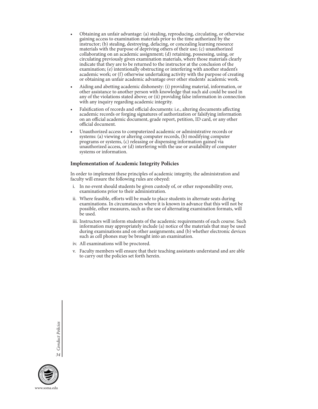- Obtaining an unfair advantage: (a) stealing, reproducing, circulating, or otherwise gaining access to examination materials prior to the time authorized by the instructor; (b) stealing, destroying, defacing, or concealing learning resource materials with the purpose of depriving others of their use; (c) unauthorized collaborating on an academic assignment; (d) retaining, possessing, using, or circulating previously given examination materials, where those materials clearly indicate that they are to be returned to the instructor at the conclusion of the examination; (e) intentionally obstructing or interfering with another student's academic work; or (f) otherwise undertaking activity with the purpose of creating or obtaining an unfair academic advantage over other students' academic work.
- Aiding and abetting academic dishonesty: (i) providing material, information, or other assistance to another person with knowledge that such aid could be used in any of the violations stated above; or (ii) providing false information in connection with any inquiry regarding academic integrity.
- Falsification of records and official documents: i.e., altering documents affecting academic records or forging signatures of authorization or falsifying information on an official academic document, grade report, petition, ID card, or any other official document.
- Unauthorized access to computerized academic or administrative records or systems: (a) viewing or altering computer records, (b) modifying computer programs or systems, (c) releasing or dispensing information gained via unauthorized access, or (d) interfering with the use or availability of computer systems or information.

### **Implementation of Academic Integrity Policies**

In order to implement these principles of academic integrity, the administration and faculty will ensure the following rules are obeyed:

- i. In no event should students be given custody of, or other responsibility over, examinations prior to their administration.
- ii. Where feasible, efforts will be made to place students in alternate seats during examinations. In circumstances where it is known in advance that this will not be possible, other measures, such as the use of alternating examination formats, will be used.
- iii. Instructors will inform students of the academic requirements of each course. Such information may appropriately include (a) notice of the materials that may be used during examinations and on other assignments; and (b) whether electronic devices such as cell phones may be brought into an examination.
- iv. All examinations will be proctored.
- v. Faculty members will ensure that their teaching assistants understand and are able to carry out the policies set forth herein.

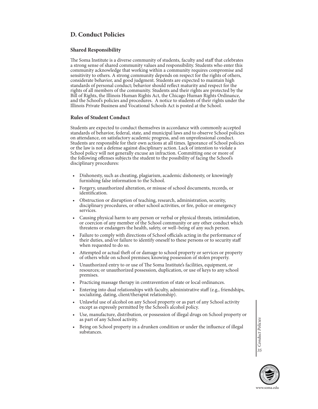# **D. Conduct Policies**

# **Shared Responsibility**

The Soma Institute is a diverse community of students, faculty and staff that celebrates a strong sense of shared community values and responsibility. Students who enter this community acknowledge that working within a community requires compromise and sensitivity to others. A strong community depends on respect for the rights of others, considerate behavior, and good judgment. Students are expected to maintain high standards of personal conduct; behavior should reflect maturity and respect for the rights of all members of the community. Students and their rights are protected by the Bill of Rights, the Illinois Human Rights Act, the Chicago Human Rights Ordinance, and the School's policies and procedures. A notice to students of their rights under the Illinois Private Business and Vocational Schools Act is posted at the School.

### **Rules of Student Conduct**

Students are expected to conduct themselves in accordance with commonly accepted standards of behavior, federal, state, and municipal laws and to observe School policies on attendance, on satisfactory academic progress, and on unprofessional conduct. Students are responsible for their own actions at all times. Ignorance of School policies or the law is not a defense against disciplinary action. Lack of intention to violate a School policy will not generally excuse an infraction. Committing one or more of the following offenses subjects the student to the possibility of facing the School's disciplinary procedures:

- Dishonesty, such as cheating, plagiarism, academic dishonesty, or knowingly furnishing false information to the School.
- Forgery, unauthorized alteration, or misuse of school documents, records, or identification.
- Obstruction or disruption of teaching, research, administration, security, disciplinary procedures, or other school activities, or fire, police or emergency services.
- Causing physical harm to any person or verbal or physical threats, intimidation, or coercion of any member of the School community or any other conduct which threatens or endangers the health, safety, or well–being of any such person.
- Failure to comply with directions of School officials acting in the performance of their duties, and/or failure to identify oneself to these persons or to security staff when requested to do so.
- Attempted or actual theft of or damage to school property or services or property of others while on school premises; knowing possession of stolen property.
- Unauthorized entry to or use of The Soma Institute's facilities, equipment, or resources; or unauthorized possession, duplication, or use of keys to any school premises.
- Practicing massage therapy in contravention of state or local ordinances.
- Entering into dual relationships with faculty, administrative staff (e.g., friendships, socializing, dating, client/therapist relationship).
- Unlawful use of alcohol on any School property or as part of any School activity except as expressly permitted by the School's alcohol policy.
- Use, manufacture, distribution, or possession of illegal drugs on School property or as part of any School activity.
- Being on School property in a drunken condition or under the influence of illegal substances.

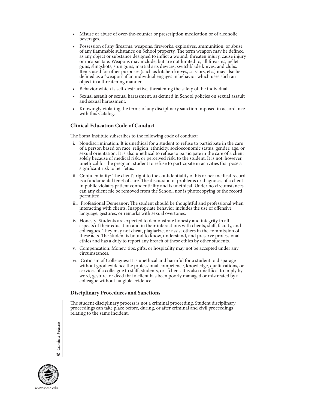- Misuse or abuse of over-the-counter or prescription medication or of alcoholic beverages.
- Possession of any firearms, weapons, fireworks, explosives, ammunition, or abuse of any flammable substance on School property. The term weapon may be defined as any object or substance designed to inflict a wound, threaten injury, cause injury or incapacitate. Weapons may include, but are not limited to, all firearms, pellet guns, slingshots, stun guns, martial arts devices, switchblade knives, and clubs. Items used for other purposes (such as kitchen knives, scissors, etc.) may also be defined as a "weapon" if an individual engages in behavior which uses such an object in a threatening manner.
- Behavior which is self-destructive, threatening the safety of the individual.
- Sexual assault or sexual harassment, as defined in School policies on sexual assault and sexual harassment.
- Knowingly violating the terms of any disciplinary sanction imposed in accordance with this Catalog.

### **Clinical Education Code of Conduct**

The Soma Institute subscribes to the following code of conduct:

- i. Nondiscrimination: It is unethical for a student to refuse to participate in the care of a person based on race, religion, ethnicity, socioeconomic status, gender, age, or sexual orientation. It is also unethical to refuse to participate in the care of a client solely because of medical risk, or perceived risk, to the student. It is not, however, unethical for the pregnant student to refuse to participate in activities that pose a significant risk to her fetus.
- ii. Confidentiality: The client's right to the confidentiality of his or her medical record is a fundamental tenet of care. The discussion of problems or diagnoses of a client in public violates patient confidentiality and is unethical. Under no circumstances can any client file be removed from the School, nor is photocopying of the record permitted.
- iii. Professional Demeanor: The student should be thoughtful and professional when interacting with clients. Inappropriate behavior includes the use of offensive language, gestures, or remarks with sexual overtones.
- iv. Honesty: Students are expected to demonstrate honesty and integrity in all aspects of their education and in their interactions with clients, staff, faculty, and colleagues. They may not cheat, plagiarize, or assist others in the commission of these acts. The student is bound to know, understand, and preserve professional ethics and has a duty to report any breach of these ethics by other students.
- v. Compensation: Money, tips, gifts, or hospitality may not be accepted under any circumstances.
- vi. Criticism of Colleagues: It is unethical and harmful for a student to disparage without good evidence the professional competence, knowledge, qualifications, or services of a colleague to staff, students, or a client. It is also unethical to imply by word, gesture, or deed that a client has been poorly managed or mistreated by a colleague without tangible evidence.

### **Disciplinary Procedures and Sanctions**

The student disciplinary process is not a criminal proceeding. Student disciplinary proceedings can take place before, during, or after criminal and civil proceedings relating to the same incident.

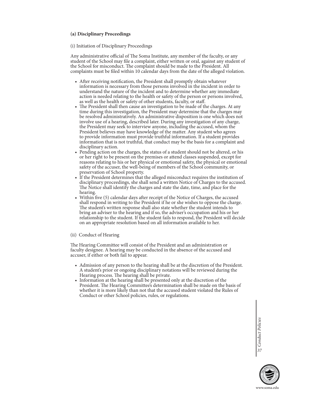### **(a) Disciplinary Proceedings**

### (i) Initiation of Disciplinary Proceedings

Any administrative official of The Soma Institute, any member of the faculty, or any student of the School may file a complaint, either written or oral, against any student of the School for misconduct. The complaint should be made to the President. All complaints must be filed within 10 calendar days from the date of the alleged violation.

- After receiving notification, the President shall promptly obtain whatever information is necessary from those persons involved in the incident in order to understand the nature of the incident and to determine whether any immediate action is needed relating to the health or safety of the person or persons involved, as well as the health or safety of other students, faculty, or staff.
- The President shall then cause an investigation to be made of the charges. At any time during this investigation, the President may determine that the charges may be resolved administratively. An administrative disposition is one which does not involve use of a hearing, described later. During any investigation of any charge, the President may seek to interview anyone, including the accused, whom the President believes may have knowledge of the matter. Any student who agrees to provide information must provide truthful information. If a student provides information that is not truthful, that conduct may be the basis for a complaint and disciplinary action.
- Pending action on the charges, the status of a student should not be altered, or his or her right to be present on the premises or attend classes suspended, except for reasons relating to his or her physical or emotional safety, the physical or emotional safety of the accuser, the well-being of members of the School community, or preservation of School property.
- If the President determines that the alleged misconduct requires the institution of disciplinary proceedings, she shall send a written Notice of Charges to the accused. The Notice shall identify the charges and state the date, time, and place for the hearing.
- Within five (5) calendar days after receipt of the Notice of Charges, the accused shall respond in writing to the President if he or she wishes to oppose the charge. The student's written response shall also state whether the student intends to bring an adviser to the hearing and if so, the adviser's occupation and his or her relationship to the student. If the student fails to respond, the President will decide on an appropriate resolution based on all information available to her.

### (ii) Conduct of Hearing

The Hearing Committee will consist of the President and an administration or faculty designee. A hearing may be conducted in the absence of the accused and accuser, if either or both fail to appear.

- Admission of any person to the hearing shall be at the discretion of the President. A student's prior or ongoing disciplinary notations will be reviewed during the Hearing process. The hearing shall be private.
- Information at the hearing shall be presented only at the discretion of the President. The Hearing Committee's determination shall be made on the basis of whether it is more likely than not that the accused student violated the Rules of Conduct or other School policies, rules, or regulations.

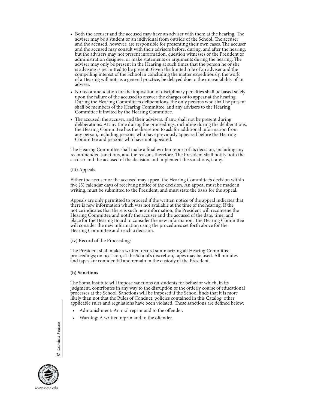- Both the accuser and the accused may have an adviser with them at the hearing. The adviser may be a student or an individual from outside of the School. The accuser and the accused, however, are responsible for presenting their own cases. The accuser and the accused may consult with their advisers before, during, and after the hearing, but the advisers may not present information, question witnesses or the President or administration designee, or make statements or arguments during the hearing. The adviser may only be present in the Hearing at such times that the person he or she is advising is permitted to be present. Given the limited role of an adviser and the compelling interest of the School in concluding the matter expeditiously, the work of a Hearing will not, as a general practice, be delayed due to the unavailability of an adviser.
- No recommendation for the imposition of disciplinary penalties shall be based solely upon the failure of the accused to answer the charges or to appear at the hearing. During the Hearing Committee's deliberations, the only persons who shall be present shall be members of the Hearing Committee, and any advisers to the Hearing Committee if invited by the Hearing Committee.
- The accused, the accuser, and their advisers, if any, shall not be present during deliberations. At any time during the proceedings, including during the deliberations, the Hearing Committee has the discretion to ask for additional information from any person, including persons who have previously appeared before the Hearing Committee and persons who have not appeared.

The Hearing Committee shall make a final written report of its decision, including any recommended sanctions, and the reasons therefore. The President shall notify both the accuser and the accused of the decision and implement the sanctions, if any.

(iii) Appeals

Either the accuser or the accused may appeal the Hearing Committee's decision within five (5) calendar days of receiving notice of the decision. An appeal must be made in writing, must be submitted to the President, and must state the basis for the appeal.

Appeals are only permitted to proceed if the written notice of the appeal indicates that there is new information which was not available at the time of the hearing. If the notice indicates that there is such new information, the President will reconvene the Hearing Committee and notify the accuser and the accused of the date, time, and place for the Hearing Board to consider the new information. The Hearing Committee will consider the new information using the procedures set forth above for the Hearing Committee and reach a decision.

(iv) Record of the Proceedings

The President shall make a written record summarizing all Hearing Committee proceedings; on occasion, at the School's discretion, tapes may be used. All minutes and tapes are confidential and remain in the custody of the President.

### **(b) Sanctions**

The Soma Institute will impose sanctions on students for behavior which, in its judgment, contributes in any way to the disruption of the orderly course of educational processes at the School. Sanctions will be imposed if the School finds that it is more likely than not that the Rules of Conduct, policies contained in this Catalog, other applicable rules and regulations have been violated. These sanctions are defined below:

- Admonishment: An oral reprimand to the offender.
- Warning: A written reprimand to the offender.

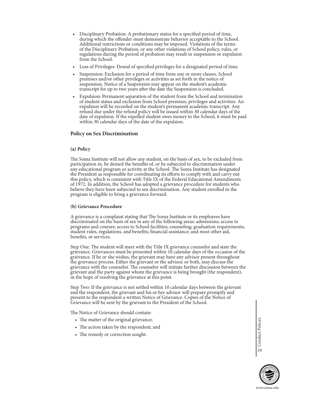- Disciplinary Probation: A probationary status for a specified period of time, during which the offender must demonstrate behavior acceptable to the School. Additional restrictions or conditions may be imposed. Violations of the terms of the Disciplinary Probation, or any other violations of School policy, rules, or regulations during the period of probation may result in suspension or expulsion from the School.
- Loss of Privileges: Denial of specified privileges for a designated period of time.
- Suspension: Exclusion for a period of time from one or more classes, School premises and/or other privileges or activities as set forth in the notice of suspension. Notice of a Suspension may appear on the student's academic transcript for up to two years after the date the Suspension is concluded.
- Expulsion: Permanent separation of the student from the School and termination of student status and exclusion from School premises, privileges and activities. An expulsion will be recorded on the student's permanent academic transcript. Any refund due under the refund policy will be issued within 30 calendar days of the date of expulsion. If the expelled student owes money to the School, it must be paid within 30 calendar days of the date of the expulsion.

### **Policy on Sex Discrimination**

### **(a) Policy**

The Soma Institute will not allow any student, on the basis of sex, to be excluded from participation in, be denied the benefits of, or be subjected to discrimination under any educational program or activity at the School. The Soma Institute has designated the President as responsible for coordinating its efforts to comply with and carry out this policy, which is consistent with Title IX of the Federal Educational Amendments of 1972. In addition, the School has adopted a grievance procedure for students who believe they have been subjected to sex discrimination. Any student enrolled in the program is eligible to bring a grievance forward.

### **(b) Grievance Procedure**

A grievance is a complaint stating that The Soma Institute or its employees have discriminated on the basis of sex in any of the following areas: admissions; access to programs and courses; access to School facilities; counseling; graduation requirements; student rules, regulations, and benefits; financial assistance; and most other aid, benefits, or services.

Step One: The student will meet with the Title IX grievance counselor and state the grievance. Grievances must be presented within 10 calendar days of the occasion of the grievance. If he or she wishes, the grievant may have any advisor present throughout the grievance process. Either the grievant or the advisor, or both, may discuss the grievance with the counselor. The counselor will initiate further discussion between the grievant and the party against whom the grievance is being brought (the respondent), in the hope of resolving the grievance at this point.

Step Two: If the grievance is not settled within 10 calendar days between the grievant and the respondent, the grievant and his or her advisor will prepare promptly and present to the respondent a written Notice of Grievance. Copies of the Notice of Grievance will be sent by the grievant to the President of the School.

The Notice of Grievance should contain:

- The matter of the original grievance;
- The action taken by the respondent; and
- The remedy or correction sought.

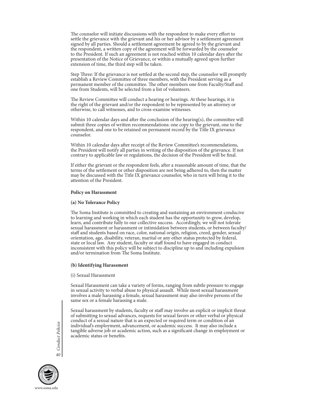The counselor will initiate discussions with the respondent to make every effort to settle the grievance with the grievant and his or her advisor by a settlement agreement signed by all parties. Should a settlement agreement be agreed to by the grievant and the respondent, a written copy of the agreement will be forwarded by the counselor to the President. If such an agreement is not reached within 10 calendar days after the presentation of the Notice of Grievance, or within a mutually agreed upon further extension of time, the third step will be taken.

Step Three: If the grievance is not settled at the second step, the counselor will promptly establish a Review Committee of three members, with the President serving as a permanent member of the committee. The other members one from Faculty/Staff and one from Students, will be selected from a list of volunteers.

The Review Committee will conduct a hearing or hearings. At these hearings, it is the right of the grievant and/or the respondent to be represented by an attorney or otherwise, to call witnesses, and to cross-examine witnesses.

Within 10 calendar days and after the conclusion of the hearing(s), the committee will submit three copies of written recommendations: one copy to the grievant, one to the respondent, and one to be retained on permanent record by the Title IX grievance counselor.

Within 10 calendar days after receipt of the Review Committee's recommendations, the President will notify all parties in writing of the disposition of the grievance. If not contrary to applicable law or regulations, the decision of the President will be final.

If either the grievant or the respondent feels, after a reasonable amount of time, that the terms of the settlement or other disposition are not being adhered to, then the matter may be discussed with the Title IX grievance counselor, who in turn will bring it to the attention of the President.

### **Policy on Harassment**

#### **(a) No Tolerance Policy**

The Soma Institute is committed to creating and sustaining an environment conducive to learning and working in which each student has the opportunity to grow, develop, learn, and contribute fully to our collective success. Accordingly, we will not tolerate sexual harassment or harassment or intimidation between students, or between faculty/ staff and students based on race, color, national origin, religion, creed, gender, sexual orientation, age, disability, veteran, marital or any other status protected by federal, state or local law. Any student, faculty or staff found to have engaged in conduct inconsistent with this policy will be subject to discipline up to and including expulsion and/or termination from The Soma Institute.

### **(b) Identifying Harassment**

#### (i) Sexual Harassment

Sexual Harassment can take a variety of forms, ranging from subtle pressure to engage in sexual activity to verbal abuse to physical assault. While most sexual harassment involves a male harassing a female, sexual harassment may also involve persons of the same sex or a female harassing a male.

Sexual harassment by students, faculty or staff may involve an explicit or implicit threat of submitting to sexual advances, requests for sexual favors or other verbal or physical conduct of a sexual nature that is an expected or required term or condition of an individual's employment, advancement, or academic success. It may also include a tangible adverse job or academic action, such as a significant change in employment or academic status or benefits.

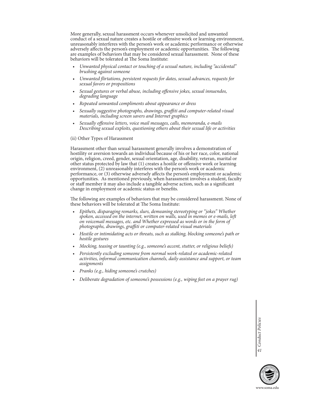More generally, sexual harassment occurs whenever unsolicited and unwanted conduct of a sexual nature creates a hostile or offensive work or learning environment, unreasonably interferes with the person's work or academic performance or otherwise adversely affects the person's employment or academic opportunities. The following are examples of behaviors that may be considered sexual harassment. None of these behaviors will be tolerated at The Soma Institute:

- *• Unwanted physical contact or touching of a sexual nature, including "accidental" brushing against someone*
- *• Unwanted flirtations, persistent requests for dates, sexual advances, requests for sexual favors or propositions*
- *• Sexual gestures or verbal abuse, including offensive jokes, sexual innuendos, degrading language*
- *• Repeated unwanted compliments about appearance or dress*
- *• Sexually suggestive photographs, drawings, graffiti and computer-related visual materials, including screen savers and Internet graphics*
- *• Sexually offensive letters, voice mail messages, calls, memoranda, e-mails Describing sexual exploits, questioning others about their sexual life or activities*
- (ii) Other Types of Harassment

Harassment other than sexual harassment generally involves a demonstration of hostility or aversion towards an individual because of his or her race, color, national origin, religion, creed, gender, sexual orientation, age, disability, veteran, marital or other status protected by law that (1) creates a hostile or offensive work or learning environment, (2) unreasonably interferes with the person's work or academic performance, or (3) otherwise adversely affects the person's employment or academic opportunities. As mentioned previously, when harassment involves a student, faculty or staff member it may also include a tangible adverse action, such as a significant change in employment or academic status or benefits.

The following are examples of behaviors that may be considered harassment. None of these behaviors will be tolerated at The Soma Institute:

- *• Epithets, disparaging remarks, slurs, demeaning stereotyping or "jokes" Whether spoken, accessed on the internet, written on walls, used in memos or e-mails, left on voicemail messages, etc. and Whether expressed as words or in the form of photographs, drawings, graffiti or computer-related visual materials*
- *• Hostile or intimidating acts or threats, such as stalking, blocking someone's path or hostile gestures*
- *• Mocking, teasing or taunting (e.g., someone's accent, stutter, or religious beliefs)*
- *• Persistently excluding someone from normal work-related or academic-related activities, informal communication channels, daily assistance and support, or team assignments*
- *• Pranks (e.g., hiding someone's crutches)*
- *• Deliberate degradation of someone's possessions (e.g., wiping feet on a prayer rug)*

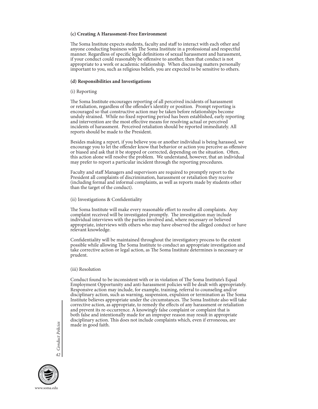### **(c) Creating A Harassment-Free Environment**

The Soma Institute expects students, faculty and staff to interact with each other and anyone conducting business with The Soma Institute in a professional and respectful manner. Regardless of specific legal definitions of sexual harassment and harassment, if your conduct could reasonably be offensive to another, then that conduct is not appropriate to a work or academic relationship. When discussing matters personally important to you, such as religious beliefs, you are expected to be sensitive to others.

### **(d) Responsibilities and Investigations**

### (i) Reporting

The Soma Institute encourages reporting of all perceived incidents of harassment or retaliation, regardless of the offender's identity or position. Prompt reporting is encouraged so that constructive action may be taken before relationships become unduly strained. While no fixed reporting period has been established, early reporting and intervention are the most effective means for resolving actual or perceived incidents of harassment. Perceived retaliation should be reported immediately. All reports should be made to the President.

Besides making a report, if you believe you or another individual is being harassed, we encourage you to let the offender know that behavior or action you perceive as offensive or biased and ask that it be stopped or corrected, depending on the situation. Often, this action alone will resolve the problem. We understand, however, that an individual may prefer to report a particular incident through the reporting procedures.

Faculty and staff Managers and supervisors are required to promptly report to the President all complaints of discrimination, harassment or retaliation they receive (including formal and informal complaints, as well as reports made by students other than the target of the conduct).

### (ii) Investigations & Confidentiality

The Soma Institute will make every reasonable effort to resolve all complaints. Any complaint received will be investigated promptly. The investigation may include individual interviews with the parties involved and, where necessary or believed appropriate, interviews with others who may have observed the alleged conduct or have relevant knowledge.

Confidentiality will be maintained throughout the investigatory process to the extent possible while allowing The Soma Institute to conduct an appropriate investigation and take corrective action or legal action, as The Soma Institute determines is necessary or prudent.

### (iii) Resolution

Conduct found to be inconsistent with or in violation of The Soma Institute's Equal Employment Opportunity and anti-harassment policies will be dealt with appropriately. Responsive action may include, for example, training, referral to counseling and/or disciplinary action, such as warning, suspension, expulsion or termination as The Soma Institute believes appropriate under the circumstances. The Soma Institute also will take corrective action, as appropriate, to remedy the effects of any harassment or retaliation and prevent its re-occurrence. A knowingly false complaint or complaint that is both false and intentionally made for an improper reason may result in appropriate disciplinary action. This does not include complaints which, even if erroneous, are made in good faith.

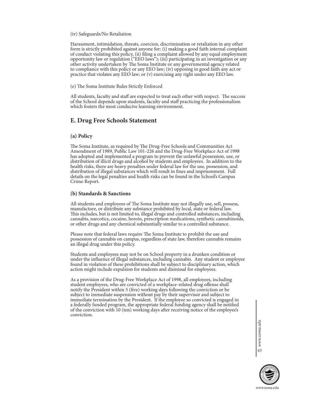### (iv) Safeguards/No Retaliation

Harassment, intimidation, threats, coercion, discrimination or retaliation in any other form is strictly prohibited against anyone for: (i) making a good faith internal complaint of conduct violating this policy, (ii) filing a complaint allowed by any equal employment opportunity law or regulation ("EEO laws"); (iii) participating in an investigation or any other activity undertaken by The Soma Institute or any governmental agency related to compliance with this policy or any EEO law; (iv) opposing in good faith any act or practice that violates any EEO law; or (v) exercising any right under any EEO law.

(e) The Soma Institute Rules Strictly Enforced

All students, faculty and staff are expected to treat each other with respect. The success of the School depends upon students, faculty and staff practicing the professionalism which fosters the most conducive learning environment.

# **E. Drug Free Schools Statement**

### **(a) Policy**

The Soma Institute, as required by The Drug-Free Schools and Communities Act Amendment of 1989, Public Law 101-226 and the Drug-Free Workplace Act of 1998 has adopted and implemented a program to prevent the unlawful possession, use, or distribution of illicit drugs and alcohol by students and employees. In addition to the health risks, there are heavy penalties under federal law for the use, possession, and distribution of illegal substances which will result in fines and imprisonment. Full details on the legal penalties and health risks can be found in the School's Campus Crime Report.

### **(b) Standards & Sanctions**

All students and employees of The Soma Institute may not illegally use, sell, possess, manufacture, or distribute any substance prohibited by local, state or federal law. This includes, but is not limited to, illegal drugs and controlled substances, including cannabis, narcotics, cocaine, heroin, prescription medications, synthetic cannabinoids, or other drugs and any chemical substantially similar to a controlled substance.

Please note that federal laws require The Soma Institute to prohibit the use and possession of cannabis on campus, regardless of state law, therefore cannabis remains an illegal drug under this policy.

Students and employees may not be on School property in a drunken condition or under the influence of illegal substances, including cannabis. Any student or employee found in violation of these prohibitions shall be subject to disciplinary action, which action might include expulsion for students and dismissal for employees.

As a provision of the Drug-Free Workplace Act of 1998, all employees, including student employees, who are convicted of a workplace-related drug offense shall notify the President within 5 (five) working days following the conviction or be subject to immediate suspension without pay by their supervisor and subject to immediate termination by the President. If the employee so convicted is engaged in a federally funded program, the appropriate federal funding agency shall be notified of the conviction with 10 (ten) working days after receiving notice of the employee's conviction.

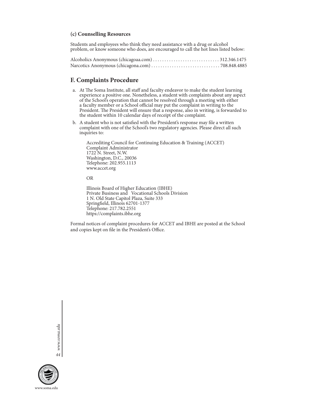### **(c) Counselling Resources**

Students and employees who think they need assistance with a drug or alcohol problem, or know someone who does, are encouraged to call the hot lines listed below:

# **F. Complaints Procedure**

- a. At The Soma Institute, all staff and faculty endeavor to make the student learning experience a positive one. Nonetheless, a student with complaints about any aspect of the School's operation that cannot be resolved through a meeting with either a faculty member or a School official may put the complaint in writing to the President. The President will ensure that a response, also in writing, is forwarded to the student within 10 calendar days of receipt of the complaint.
- b. A student who is not satisfied with the President's response may file a written complaint with one of the School's two regulatory agencies. Please direct all such inquiries to:

 Accrediting Council for Continuing Education & Training (ACCET) Complaint Administrator 1722 N. Street, N.W. Washington, D.C., 20036 Telephone: 202.955.1113 www.accet.org

OR

 Illinois Board of Higher Education (IBHE) Private Business and Vocational Schools Division 1 N. Old State Capitol Plaza, Suite 333 Springfield, Illinois 62701-1377 Telephone: 217.782.2551 https://complaints.ibhe.org

Formal notices of complaint procedures for ACCET and IBHE are posted at the School and copies kept on file in the President's Office.

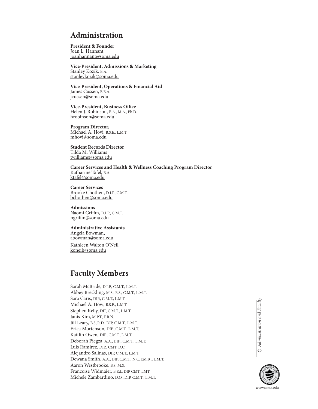# **Administration**

**President & Founder**  Joan L. Hannant joanhannant@soma.edu

**Vice-President, Admissions & Marketing**  Stanley Kozik, B.A. stanleykozik@soma.edu

**Vice-President, Operations & Financial Aid**  James Cussen, B.B.A. jcussen@soma.edu

**Vice-President, Business Office**  Helen J. Robinson, B.A., M.A., Ph.D. hrobinson@soma.edu

**Program Director,**  Michael A. Hovi, B.S.E., L.M.T. mhovi@soma.edu

**Student Records Director** Tilda M. Williams twilliams@soma.edu

**Career Services and Health & Wellness Coaching Program Director** Katharine Tafel, B.A. ktafel@soma.edu

**Career Services** Brooke Chothen, D.I.P., C.M.T. bchothen@soma.edu

**Admissions** Naomi Griffin, D.I.P., C.M.T. ngriffin@soma.edu

**Administrative Assistants** Angela Bowman, abowman@soma.edu Kathleen Walton O'Neil koneil@soma.edu

# **Faculty Members**

Sarah McBride, D.I.P., C.M.T., L.M.T. Abbey Breckling, M.S., B.S., C.M.T., L.M.T. Sara Caris, DIP., C.M.T., L.M.T. Michael A. Hovi, B.S.E., L.M.T. Stephen Kelly, DIP, C.M.T., L.M.T. Janis Kim, M.P.T., P.R.N. Jill Leary, B.S.,R.D., DIP, C.M.T., L.M.T. Erica Mortenson, DIP., C.M.T., L.M.T. Kaitlin Owen, DIP., C.M.T., L.M.T. Deborah Piegza, A.A., DIP., C.M.T., L.M.T. Luis Ramirez, DIP., CMT, D.C. Alejandro Salinas, DIP, C.M.T., L.M.T. Dewana Smith, A.A., DIP, C.M.T., N.C.T.M.B ., L.M.T. Aaron Westbrooke, B.S, M.S. Francoise Widmaier, B.Ed., DIP CMT, LMT Michele Zambardino, D.O., DIP, C.M.T., L.M.T.